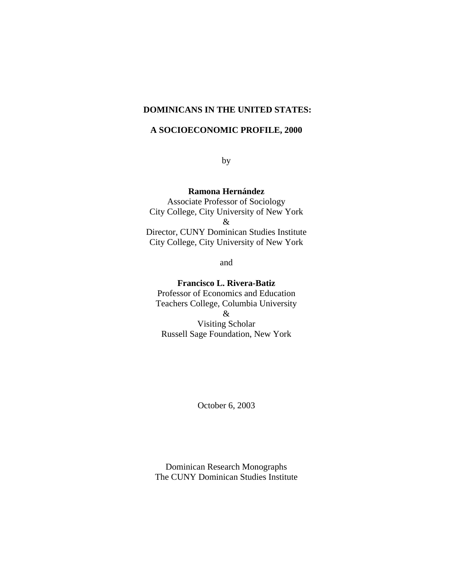# **DOMINICANS IN THE UNITED STATES:**

# **A SOCIOECONOMIC PROFILE, 2000**

**by** 

**Ramona Hernández**

 Associate Professor of Sociology City College, City University of New York & Director, CUNY Dominican Studies Institute City College, City University of New York

and

# **Francisco L. Rivera-Batiz**

 Professor of Economics and Education Teachers College, Columbia University &

 Visiting Scholar Russell Sage Foundation, New York

October 6, 2003

 Dominican Research Monographs The CUNY Dominican Studies Institute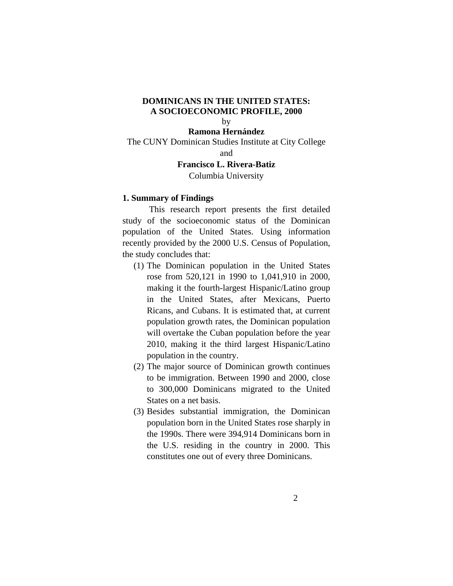# **DOMINICANS IN THE UNITED STATES: A SOCIOECONOMIC PROFILE, 2000**

# by

**Ramona Hernández** The CUNY Dominican Studies Institute at City College and

# **Francisco L. Rivera-Batiz**

Columbia University

## **1. Summary of Findings**

 This research report presents the first detailed study of the socioeconomic status of the Dominican population of the United States. Using information recently provided by the 2000 U.S. Census of Population, the study concludes that:

- (1) The Dominican population in the United States rose from 520,121 in 1990 to 1,041,910 in 2000, making it the fourth-largest Hispanic/Latino group in the United States, after Mexicans, Puerto Ricans, and Cubans. It is estimated that, at current population growth rates, the Dominican population will overtake the Cuban population before the year 2010, making it the third largest Hispanic/Latino population in the country.
- (2) The major source of Dominican growth continues to be immigration. Between 1990 and 2000, close to 300,000 Dominicans migrated to the United States on a net basis.
- (3) Besides substantial immigration, the Dominican population born in the United States rose sharply in the 1990s. There were 394,914 Dominicans born in the U.S. residing in the country in 2000. This constitutes one out of every three Dominicans.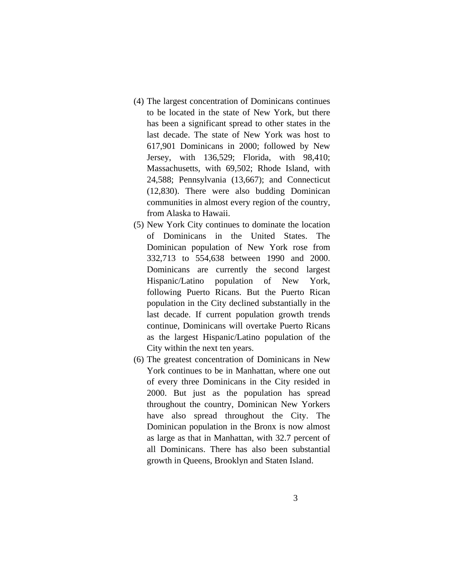- (4) The largest concentration of Dominicans continues to be located in the state of New York, but there has been a significant spread to other states in the last decade. The state of New York was host to 617,901 Dominicans in 2000; followed by New Jersey, with 136,529; Florida, with 98,410; Massachusetts, with 69,502; Rhode Island, with 24,588; Pennsylvania (13,667); and Connecticut (12,830). There were also budding Dominican communities in almost every region of the country, from Alaska to Hawaii.
- (5) New York City continues to dominate the location of Dominicans in the United States. The Dominican population of New York rose from 332,713 to 554,638 between 1990 and 2000. Dominicans are currently the second largest Hispanic/Latino population of New York, following Puerto Ricans. But the Puerto Rican population in the City declined substantially in the last decade. If current population growth trends continue, Dominicans will overtake Puerto Ricans as the largest Hispanic/Latino population of the City within the next ten years.
- (6) The greatest concentration of Dominicans in New York continues to be in Manhattan, where one out of every three Dominicans in the City resided in 2000. But just as the population has spread throughout the country, Dominican New Yorkers have also spread throughout the City. The Dominican population in the Bronx is now almost as large as that in Manhattan, with 32.7 percent of all Dominicans. There has also been substantial growth in Queens, Brooklyn and Staten Island.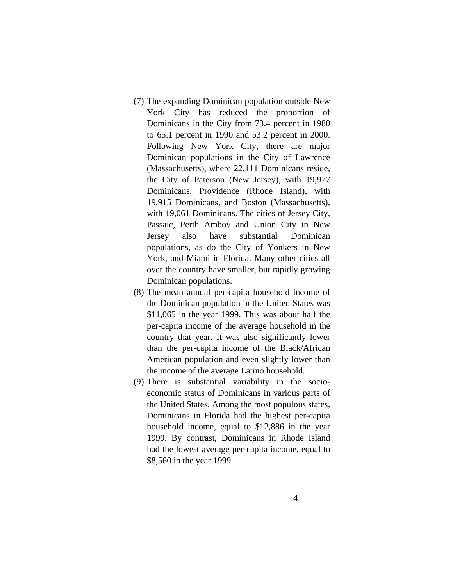- (7) The expanding Dominican population outside New York City has reduced the proportion of Dominicans in the City from 73.4 percent in 1980 to 65.1 percent in 1990 and 53.2 percent in 2000. Following New York City, there are major Dominican populations in the City of Lawrence (Massachusetts), where 22,111 Dominicans reside, the City of Paterson (New Jersey), with 19,977 Dominicans, Providence (Rhode Island), with 19,915 Dominicans, and Boston (Massachusetts), with 19,061 Dominicans. The cities of Jersey City, Passaic, Perth Amboy and Union City in New Jersey also have substantial Dominican populations, as do the City of Yonkers in New York, and Miami in Florida. Many other cities all over the country have smaller, but rapidly growing Dominican populations.
- (8) The mean annual per-capita household income of the Dominican population in the United States was \$11,065 in the year 1999. This was about half the per-capita income of the average household in the country that year. It was also significantly lower than the per-capita income of the Black/African American population and even slightly lower than the income of the average Latino household.
- (9) There is substantial variability in the socioeconomic status of Dominicans in various parts of the United States. Among the most populous states, Dominicans in Florida had the highest per-capita household income, equal to \$12,886 in the year 1999. By contrast, Dominicans in Rhode Island had the lowest average per-capita income, equal to \$8,560 in the year 1999.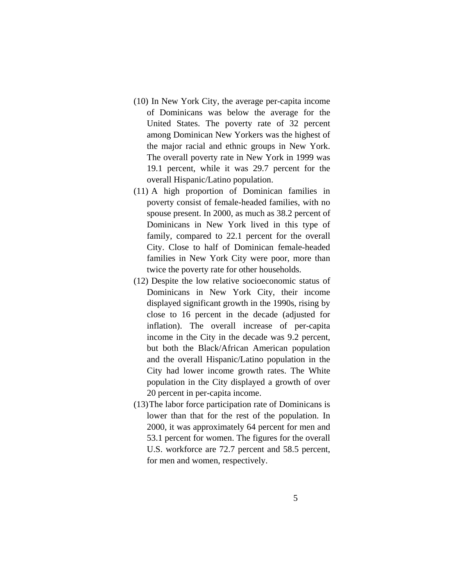- (10) In New York City, the average per-capita income of Dominicans was below the average for the United States. The poverty rate of 32 percent among Dominican New Yorkers was the highest of the major racial and ethnic groups in New York. The overall poverty rate in New York in 1999 was 19.1 percent, while it was 29.7 percent for the overall Hispanic/Latino population.
- (11) A high proportion of Dominican families in poverty consist of female-headed families, with no spouse present. In 2000, as much as 38.2 percent of Dominicans in New York lived in this type of family, compared to 22.1 percent for the overall City. Close to half of Dominican female-headed families in New York City were poor, more than twice the poverty rate for other households.
- (12) Despite the low relative socioeconomic status of Dominicans in New York City, their income displayed significant growth in the 1990s, rising by close to 16 percent in the decade (adjusted for inflation). The overall increase of per-capita income in the City in the decade was 9.2 percent, but both the Black/African American population and the overall Hispanic/Latino population in the City had lower income growth rates. The White population in the City displayed a growth of over 20 percent in per-capita income.
- (13)The labor force participation rate of Dominicans is lower than that for the rest of the population. In 2000, it was approximately 64 percent for men and 53.1 percent for women. The figures for the overall U.S. workforce are 72.7 percent and 58.5 percent, for men and women, respectively.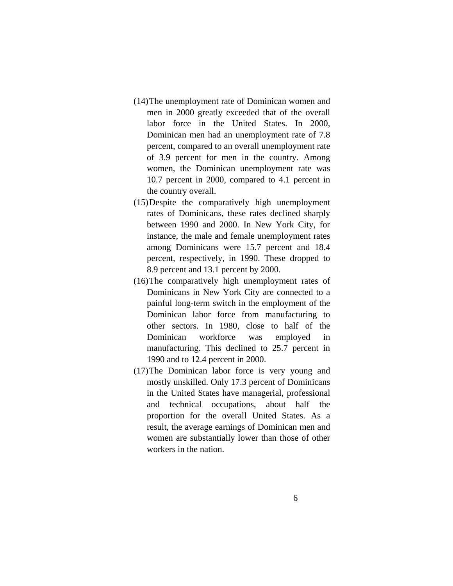- (14)The unemployment rate of Dominican women and men in 2000 greatly exceeded that of the overall labor force in the United States. In 2000, Dominican men had an unemployment rate of 7.8 percent, compared to an overall unemployment rate of 3.9 percent for men in the country. Among women, the Dominican unemployment rate was 10.7 percent in 2000, compared to 4.1 percent in the country overall.
- (15)Despite the comparatively high unemployment rates of Dominicans, these rates declined sharply between 1990 and 2000. In New York City, for instance, the male and female unemployment rates among Dominicans were 15.7 percent and 18.4 percent, respectively, in 1990. These dropped to 8.9 percent and 13.1 percent by 2000.
- (16)The comparatively high unemployment rates of Dominicans in New York City are connected to a painful long-term switch in the employment of the Dominican labor force from manufacturing to other sectors. In 1980, close to half of the Dominican workforce was employed in manufacturing. This declined to 25.7 percent in 1990 and to 12.4 percent in 2000.
- (17)The Dominican labor force is very young and mostly unskilled. Only 17.3 percent of Dominicans in the United States have managerial, professional and technical occupations, about half the proportion for the overall United States. As a result, the average earnings of Dominican men and women are substantially lower than those of other workers in the nation.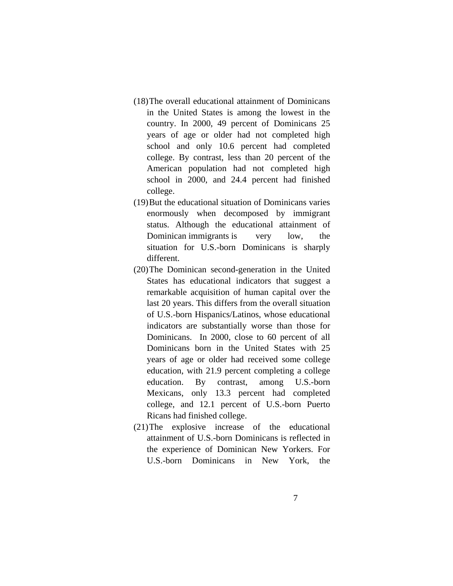- (18)The overall educational attainment of Dominicans in the United States is among the lowest in the country. In 2000, 49 percent of Dominicans 25 years of age or older had not completed high school and only 10.6 percent had completed college. By contrast, less than 20 percent of the American population had not completed high school in 2000, and 24.4 percent had finished college.
- (19)But the educational situation of Dominicans varies enormously when decomposed by immigrant status. Although the educational attainment of Dominican immigrants is very low, the situation for U.S.-born Dominicans is sharply different.
- (20)The Dominican second-generation in the United States has educational indicators that suggest a remarkable acquisition of human capital over the last 20 years. This differs from the overall situation of U.S.-born Hispanics/Latinos, whose educational indicators are substantially worse than those for Dominicans. In 2000, close to 60 percent of all Dominicans born in the United States with 25 years of age or older had received some college education, with 21.9 percent completing a college education. By contrast, among U.S.-born Mexicans, only 13.3 percent had completed college, and 12.1 percent of U.S.-born Puerto Ricans had finished college.
- (21)The explosive increase of the educational attainment of U.S.-born Dominicans is reflected in the experience of Dominican New Yorkers. For U.S.-born Dominicans in New York, the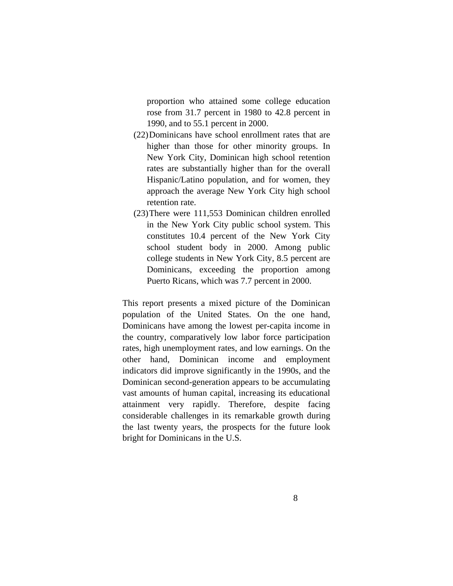proportion who attained some college education rose from 31.7 percent in 1980 to 42.8 percent in 1990, and to 55.1 percent in 2000.

- (22)Dominicans have school enrollment rates that are higher than those for other minority groups. In New York City, Dominican high school retention rates are substantially higher than for the overall Hispanic/Latino population, and for women, they approach the average New York City high school retention rate.
- (23)There were 111,553 Dominican children enrolled in the New York City public school system. This constitutes 10.4 percent of the New York City school student body in 2000. Among public college students in New York City, 8.5 percent are Dominicans, exceeding the proportion among Puerto Ricans, which was 7.7 percent in 2000.

This report presents a mixed picture of the Dominican population of the United States. On the one hand, Dominicans have among the lowest per-capita income in the country, comparatively low labor force participation rates, high unemployment rates, and low earnings. On the other hand, Dominican income and employment indicators did improve significantly in the 1990s, and the Dominican second-generation appears to be accumulating vast amounts of human capital, increasing its educational attainment very rapidly. Therefore, despite facing considerable challenges in its remarkable growth during the last twenty years, the prospects for the future look bright for Dominicans in the U.S.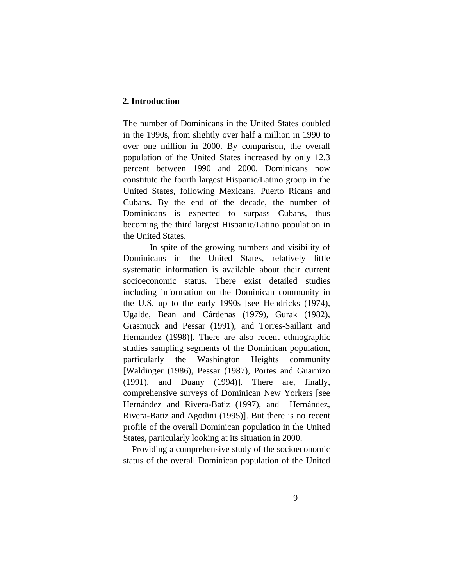# **2. Introduction**

The number of Dominicans in the United States doubled in the 1990s, from slightly over half a million in 1990 to over one million in 2000. By comparison, the overall population of the United States increased by only 12.3 percent between 1990 and 2000. Dominicans now constitute the fourth largest Hispanic/Latino group in the United States, following Mexicans, Puerto Ricans and Cubans. By the end of the decade, the number of Dominicans is expected to surpass Cubans, thus becoming the third largest Hispanic/Latino population in the United States.

In spite of the growing numbers and visibility of Dominicans in the United States, relatively little systematic information is available about their current socioeconomic status. There exist detailed studies including information on the Dominican community in the U.S. up to the early 1990s [see Hendricks (1974), Ugalde, Bean and Cárdenas (1979), Gurak (1982), Grasmuck and Pessar (1991), and Torres-Saillant and Hernández (1998)]. There are also recent ethnographic studies sampling segments of the Dominican population, particularly the Washington Heights community [Waldinger (1986), Pessar (1987), Portes and Guarnizo (1991), and Duany (1994)]. There are, finally, comprehensive surveys of Dominican New Yorkers [see Hernández and Rivera-Batiz (1997), and Hernández, Rivera-Batiz and Agodini (1995)]. But there is no recent profile of the overall Dominican population in the United States, particularly looking at its situation in 2000.

 Providing a comprehensive study of the socioeconomic status of the overall Dominican population of the United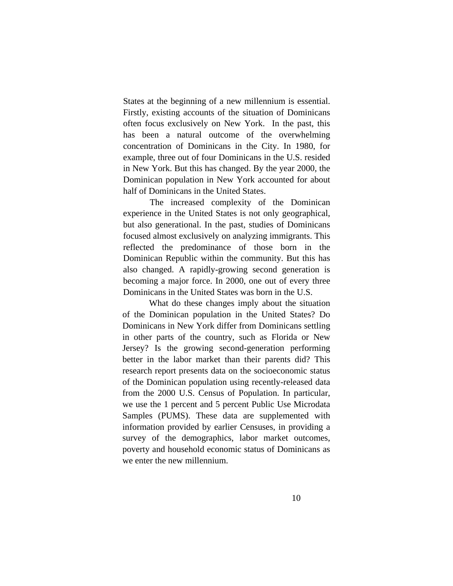States at the beginning of a new millennium is essential. Firstly, existing accounts of the situation of Dominicans often focus exclusively on New York. In the past, this has been a natural outcome of the overwhelming concentration of Dominicans in the City. In 1980, for example, three out of four Dominicans in the U.S. resided in New York. But this has changed. By the year 2000, the Dominican population in New York accounted for about half of Dominicans in the United States.

 The increased complexity of the Dominican experience in the United States is not only geographical, but also generational. In the past, studies of Dominicans focused almost exclusively on analyzing immigrants. This reflected the predominance of those born in the Dominican Republic within the community. But this has also changed. A rapidly-growing second generation is becoming a major force. In 2000, one out of every three Dominicans in the United States was born in the U.S.

 What do these changes imply about the situation of the Dominican population in the United States? Do Dominicans in New York differ from Dominicans settling in other parts of the country, such as Florida or New Jersey? Is the growing second-generation performing better in the labor market than their parents did? This research report presents data on the socioeconomic status of the Dominican population using recently-released data from the 2000 U.S. Census of Population. In particular, we use the 1 percent and 5 percent Public Use Microdata Samples (PUMS). These data are supplemented with information provided by earlier Censuses, in providing a survey of the demographics, labor market outcomes, poverty and household economic status of Dominicans as we enter the new millennium.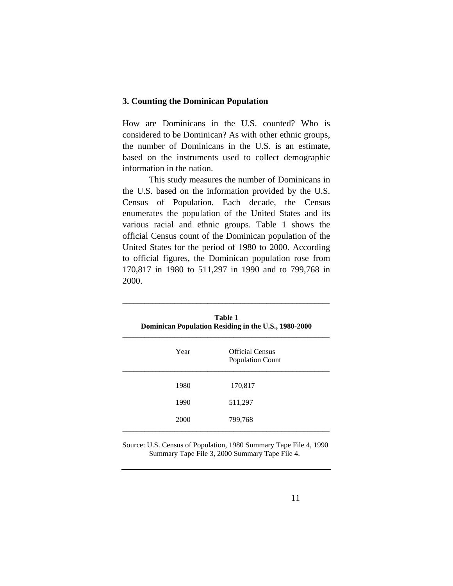# **3. Counting the Dominican Population**

How are Dominicans in the U.S. counted? Who is considered to be Dominican? As with other ethnic groups, the number of Dominicans in the U.S. is an estimate, based on the instruments used to collect demographic information in the nation.

 This study measures the number of Dominicans in the U.S. based on the information provided by the U.S. Census of Population. Each decade, the Census enumerates the population of the United States and its various racial and ethnic groups. Table 1 shows the official Census count of the Dominican population of the United States for the period of 1980 to 2000. According to official figures, the Dominican population rose from 170,817 in 1980 to 511,297 in 1990 and to 799,768 in 2000.

\_\_\_\_\_\_\_\_\_\_\_\_\_\_\_\_\_\_\_\_\_\_\_\_\_\_\_\_\_\_\_\_\_\_\_\_\_\_\_\_\_\_\_\_\_\_\_\_\_\_\_\_\_\_\_\_

| Table 1<br>Dominican Population Residing in the U.S., 1980-2000 |                                                   |  |
|-----------------------------------------------------------------|---------------------------------------------------|--|
| Year                                                            | <b>Official Census</b><br><b>Population Count</b> |  |
| 1980                                                            | 170,817                                           |  |
| 1990                                                            | 511,297                                           |  |
| 2000                                                            | 799,768                                           |  |

Source: U.S. Census of Population, 1980 Summary Tape File 4, 1990 Summary Tape File 3, 2000 Summary Tape File 4.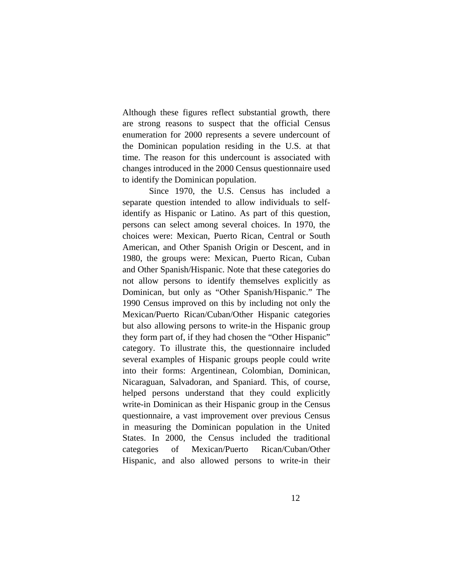Although these figures reflect substantial growth, there are strong reasons to suspect that the official Census enumeration for 2000 represents a severe undercount of the Dominican population residing in the U.S. at that time. The reason for this undercount is associated with changes introduced in the 2000 Census questionnaire used to identify the Dominican population.

Since 1970, the U.S. Census has included a separate question intended to allow individuals to selfidentify as Hispanic or Latino. As part of this question, persons can select among several choices. In 1970, the choices were: Mexican, Puerto Rican, Central or South American, and Other Spanish Origin or Descent, and in 1980, the groups were: Mexican, Puerto Rican, Cuban and Other Spanish/Hispanic. Note that these categories do not allow persons to identify themselves explicitly as Dominican, but only as "Other Spanish/Hispanic." The 1990 Census improved on this by including not only the Mexican/Puerto Rican/Cuban/Other Hispanic categories but also allowing persons to write-in the Hispanic group they form part of, if they had chosen the "Other Hispanic" category. To illustrate this, the questionnaire included several examples of Hispanic groups people could write into their forms: Argentinean, Colombian, Dominican, Nicaraguan, Salvadoran, and Spaniard. This, of course, helped persons understand that they could explicitly write-in Dominican as their Hispanic group in the Census questionnaire, a vast improvement over previous Census in measuring the Dominican population in the United States. In 2000, the Census included the traditional categories of Mexican/Puerto Rican/Cuban/Other Hispanic, and also allowed persons to write-in their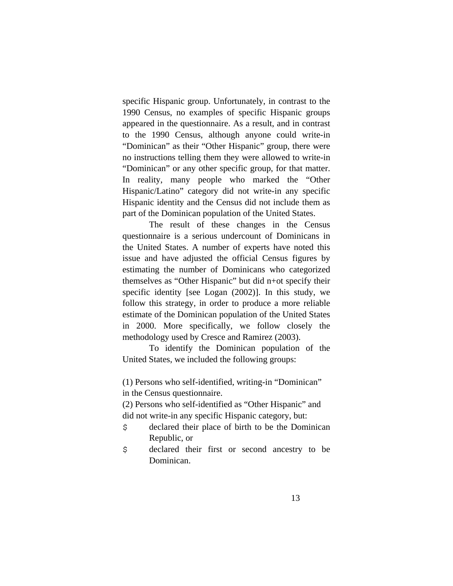specific Hispanic group. Unfortunately, in contrast to the 1990 Census, no examples of specific Hispanic groups appeared in the questionnaire. As a result, and in contrast to the 1990 Census, although anyone could write-in "Dominican" as their "Other Hispanic" group, there were no instructions telling them they were allowed to write-in "Dominican" or any other specific group, for that matter. In reality, many people who marked the "Other Hispanic/Latino" category did not write-in any specific Hispanic identity and the Census did not include them as part of the Dominican population of the United States.

 The result of these changes in the Census questionnaire is a serious undercount of Dominicans in the United States. A number of experts have noted this issue and have adjusted the official Census figures by estimating the number of Dominicans who categorized themselves as "Other Hispanic" but did n+ot specify their specific identity [see Logan (2002)]. In this study, we follow this strategy, in order to produce a more reliable estimate of the Dominican population of the United States in 2000. More specifically, we follow closely the methodology used by Cresce and Ramirez (2003).

 To identify the Dominican population of the United States, we included the following groups:

(1) Persons who self-identified, writing-in "Dominican" in the Census questionnaire.

(2) Persons who self-identified as "Other Hispanic" and did not write-in any specific Hispanic category, but:

- \$ declared their place of birth to be the Dominican Republic, or
- \$ declared their first or second ancestry to be Dominican.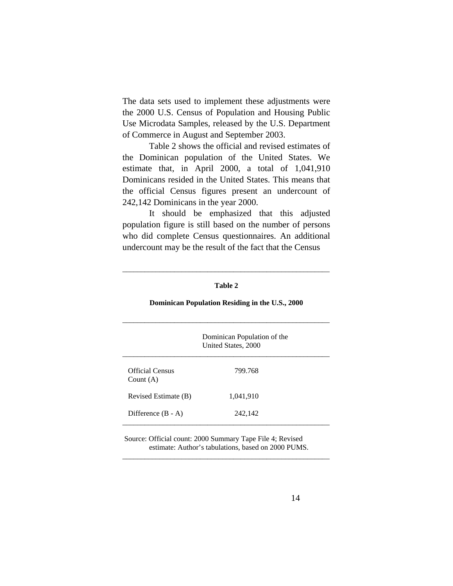The data sets used to implement these adjustments were the 2000 U.S. Census of Population and Housing Public Use Microdata Samples, released by the U.S. Department of Commerce in August and September 2003.

 Table 2 shows the official and revised estimates of the Dominican population of the United States. We estimate that, in April 2000, a total of 1,041,910 Dominicans resided in the United States. This means that the official Census figures present an undercount of 242,142 Dominicans in the year 2000.

 It should be emphasized that this adjusted population figure is still based on the number of persons who did complete Census questionnaires. An additional undercount may be the result of the fact that the Census

| Dominican Population Residing in the U.S., 2000 |                                                    |  |
|-------------------------------------------------|----------------------------------------------------|--|
|                                                 | Dominican Population of the<br>United States, 2000 |  |
| Official Census<br>Count $(A)$                  | 799.768                                            |  |
| Revised Estimate (B)                            | 1,041,910                                          |  |
| Difference $(B - A)$                            | 242,142                                            |  |
|                                                 |                                                    |  |

### **Table 2**

\_\_\_\_\_\_\_\_\_\_\_\_\_\_\_\_\_\_\_\_\_\_\_\_\_\_\_\_\_\_\_\_\_\_\_\_\_\_\_\_\_\_\_\_\_\_\_\_\_\_\_\_\_\_\_\_

 Source: Official count: 2000 Summary Tape File 4; Revised estimate: Author's tabulations, based on 2000 PUMS.

\_\_\_\_\_\_\_\_\_\_\_\_\_\_\_\_\_\_\_\_\_\_\_\_\_\_\_\_\_\_\_\_\_\_\_\_\_\_\_\_\_\_\_\_\_\_\_\_\_\_\_\_\_\_\_\_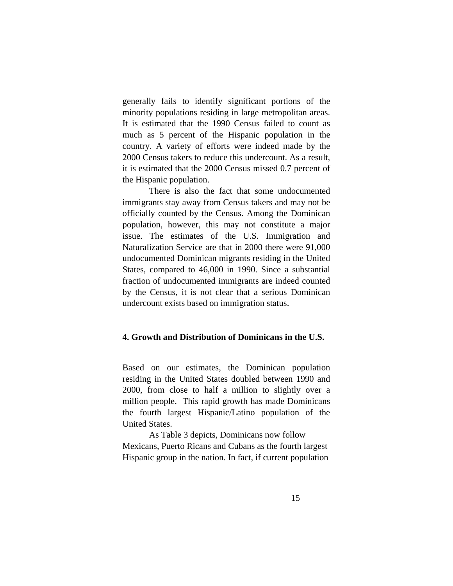generally fails to identify significant portions of the minority populations residing in large metropolitan areas. It is estimated that the 1990 Census failed to count as much as 5 percent of the Hispanic population in the country. A variety of efforts were indeed made by the 2000 Census takers to reduce this undercount. As a result, it is estimated that the 2000 Census missed 0.7 percent of the Hispanic population.

 There is also the fact that some undocumented immigrants stay away from Census takers and may not be officially counted by the Census. Among the Dominican population, however, this may not constitute a major issue. The estimates of the U.S. Immigration and Naturalization Service are that in 2000 there were 91,000 undocumented Dominican migrants residing in the United States, compared to 46,000 in 1990. Since a substantial fraction of undocumented immigrants are indeed counted by the Census, it is not clear that a serious Dominican undercount exists based on immigration status.

# **4. Growth and Distribution of Dominicans in the U.S.**

Based on our estimates, the Dominican population residing in the United States doubled between 1990 and 2000, from close to half a million to slightly over a million people. This rapid growth has made Dominicans the fourth largest Hispanic/Latino population of the United States.

 As Table 3 depicts, Dominicans now follow Mexicans, Puerto Ricans and Cubans as the fourth largest Hispanic group in the nation. In fact, if current population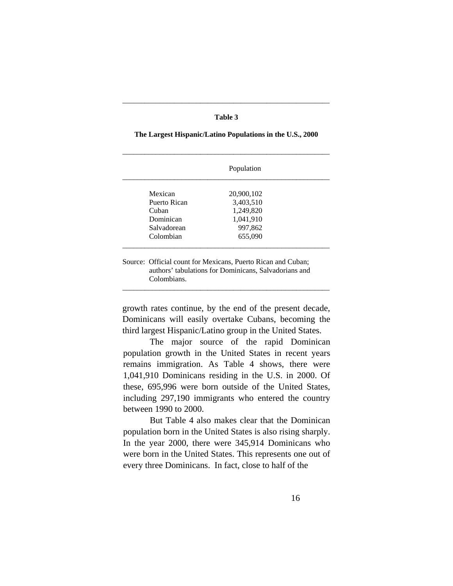### **Table 3**

\_\_\_\_\_\_\_\_\_\_\_\_\_\_\_\_\_\_\_\_\_\_\_\_\_\_\_\_\_\_\_\_\_\_\_\_\_\_\_\_\_\_\_\_\_\_\_\_\_\_\_\_\_\_\_\_

|              | Population |  |
|--------------|------------|--|
| Mexican      | 20,900,102 |  |
| Puerto Rican | 3,403,510  |  |
| Cuban        | 1,249,820  |  |
| Dominican    | 1,041,910  |  |
| Salvadorean  | 997,862    |  |
| Colombian    | 655,090    |  |

# **The Largest Hispanic/Latino Populations in the U.S., 2000**

Source: Official count for Mexicans, Puerto Rican and Cuban; authors' tabulations for Dominicans, Salvadorians and Colombians.

growth rates continue, by the end of the present decade, Dominicans will easily overtake Cubans, becoming the third largest Hispanic/Latino group in the United States.

\_\_\_\_\_\_\_\_\_\_\_\_\_\_\_\_\_\_\_\_\_\_\_\_\_\_\_\_\_\_\_\_\_\_\_\_\_\_\_\_\_\_\_\_\_\_\_\_\_\_\_\_\_\_\_\_

 The major source of the rapid Dominican population growth in the United States in recent years remains immigration. As Table 4 shows, there were 1,041,910 Dominicans residing in the U.S. in 2000. Of these, 695,996 were born outside of the United States, including 297,190 immigrants who entered the country between 1990 to 2000.

 But Table 4 also makes clear that the Dominican population born in the United States is also rising sharply. In the year 2000, there were 345,914 Dominicans who were born in the United States. This represents one out of every three Dominicans. In fact, close to half of the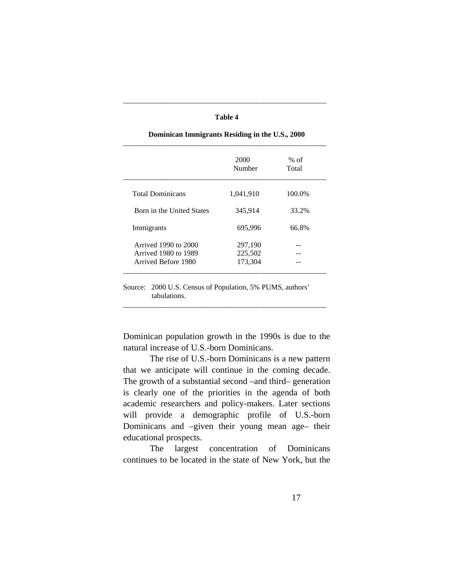|                           | 2000<br>Number | $%$ of<br>Total |
|---------------------------|----------------|-----------------|
| <b>Total Dominicans</b>   | 1,041,910      | 100.0%          |
| Born in the United States | 345,914        | 33.2%           |
| Immigrants                | 695,996        | 66.8%           |
| Arrived 1990 to 2000      | 297,190        |                 |
| Arrived 1980 to 1989      | 225,502        |                 |
| Arrived Before 1980       | 173,304        |                 |

**Dominican Immigrants Residing in the U.S., 2000**

\_\_\_\_\_\_\_\_\_\_\_\_\_\_\_\_\_\_\_\_\_\_\_\_\_\_\_\_\_\_\_\_\_\_\_\_\_\_\_\_\_\_\_\_\_\_\_\_\_\_\_\_\_\_\_

**Table 4**

Source: 2000 U.S. Census of Population, 5% PUMS, authors' tabulations.

Dominican population growth in the 1990s is due to the natural increase of U.S.-born Dominicans.

\_\_\_\_\_\_\_\_\_\_\_\_\_\_\_\_\_\_\_\_\_\_\_\_\_\_\_\_\_\_\_\_\_\_\_\_\_\_\_\_\_\_\_\_\_\_\_\_\_\_\_\_\_\_\_

 The rise of U.S.-born Dominicans is a new pattern that we anticipate will continue in the coming decade. The growth of a substantial second –and third– generation is clearly one of the priorities in the agenda of both academic researchers and policy-makers. Later sections will provide a demographic profile of U.S.-born Dominicans and –given their young mean age– their educational prospects.

 The largest concentration of Dominicans continues to be located in the state of New York, but the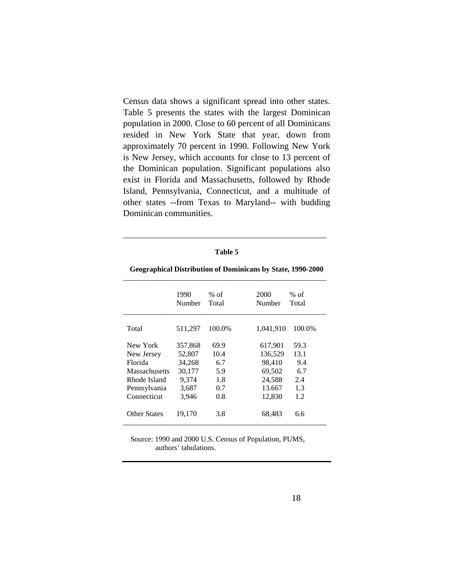Census data shows a significant spread into other states. Table 5 presents the states with the largest Dominican population in 2000. Close to 60 percent of all Dominicans resided in New York State that year, down from approximately 70 percent in 1990. Following New York is New Jersey, which accounts for close to 13 percent of the Dominican population. Significant populations also exist in Florida and Massachusetts, followed by Rhode Island, Pennsylvania, Connecticut, and a multitude of other states --from Texas to Maryland-- with budding Dominican communities.

#### **Table 5**

\_\_\_\_\_\_\_\_\_\_\_\_\_\_\_\_\_\_\_\_\_\_\_\_\_\_\_\_\_\_\_\_\_\_\_\_\_\_\_\_\_\_\_\_\_\_\_\_\_\_\_\_\_\_\_

|                | 1990<br>Number | % of<br>Total | 2000<br>Number | % of<br>Total |
|----------------|----------------|---------------|----------------|---------------|
| Total          | 511,297        | 100.0%        | 1,041,910      | 100.0%        |
| New York       | 357,868        | 69.9          | 617,901        | 59.3          |
| New Jersey     | 52,807         | 10.4          | 136.529        | 13.1          |
| <b>Florida</b> | 34,268         | 6.7           | 98,410         | 9.4           |
| Massachusetts  | 30,177         | 5.9           | 69,502         | 6.7           |
| Rhode Island   | 9,374          | 1.8           | 24,588         | 2.4           |
| Pennsylvania   | 3,687          | 0.7           | 13.667         | 1.3           |
| Connecticut    | 3,946          | 0.8           | 12,830         | 1.2           |
| Other States   | 19,170         | 3.8           | 68,483         | 6.6           |

# **Geographical Distribution of Dominicans by State, 1990-2000**

 Source: 1990 and 2000 U.S. Census of Population, PUMS, authors' tabulations.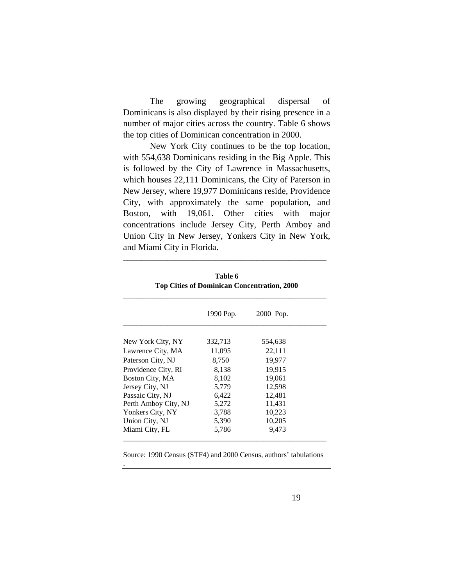The growing geographical dispersal of Dominicans is also displayed by their rising presence in a number of major cities across the country. Table 6 shows the top cities of Dominican concentration in 2000.

 New York City continues to be the top location, with 554,638 Dominicans residing in the Big Apple. This is followed by the City of Lawrence in Massachusetts, which houses 22,111 Dominicans, the City of Paterson in New Jersey, where 19,977 Dominicans reside, Providence City, with approximately the same population, and Boston, with 19,061. Other cities with major concentrations include Jersey City, Perth Amboy and Union City in New Jersey, Yonkers City in New York, and Miami City in Florida.

|                      | 1990 Pop. | 2000 Pop. |  |
|----------------------|-----------|-----------|--|
| New York City, NY    | 332,713   | 554,638   |  |
| Lawrence City, MA    | 11,095    | 22,111    |  |
| Paterson City, NJ    | 8,750     | 19,977    |  |
| Providence City, RI  | 8,138     | 19,915    |  |
| Boston City, MA      | 8,102     | 19,061    |  |
| Jersey City, NJ      | 5,779     | 12,598    |  |
| Passaic City, NJ     | 6,422     | 12,481    |  |
| Perth Amboy City, NJ | 5,272     | 11,431    |  |
| Yonkers City, NY     | 3,788     | 10,223    |  |
| Union City, NJ       | 5,390     | 10,205    |  |
| Miami City, FL       | 5,786     | 9,473     |  |

| Table 6                                            |  |
|----------------------------------------------------|--|
| <b>Top Cities of Dominican Concentration, 2000</b> |  |

\_\_\_\_\_\_\_\_\_\_\_\_\_\_\_\_\_\_\_\_\_\_\_\_\_\_\_\_\_\_\_\_\_\_\_\_\_\_\_\_\_\_\_\_\_\_\_\_\_\_\_\_\_\_\_

Source: 1990 Census (STF4) and 2000 Census, authors' tabulations

.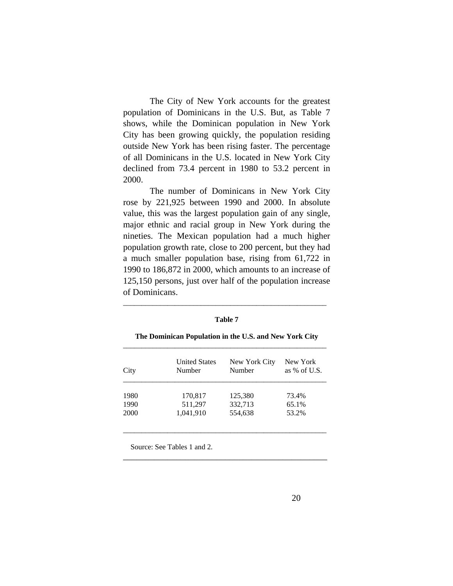The City of New York accounts for the greatest population of Dominicans in the U.S. But, as Table 7 shows, while the Dominican population in New York City has been growing quickly, the population residing outside New York has been rising faster. The percentage of all Dominicans in the U.S. located in New York City declined from 73.4 percent in 1980 to 53.2 percent in 2000.

 The number of Dominicans in New York City rose by 221,925 between 1990 and 2000. In absolute value, this was the largest population gain of any single, major ethnic and racial group in New York during the nineties. The Mexican population had a much higher population growth rate, close to 200 percent, but they had a much smaller population base, rising from 61,722 in 1990 to 186,872 in 2000, which amounts to an increase of 125,150 persons, just over half of the population increase of Dominicans.

#### **Table 7**

\_\_\_\_\_\_\_\_\_\_\_\_\_\_\_\_\_\_\_\_\_\_\_\_\_\_\_\_\_\_\_\_\_\_\_\_\_\_\_\_\_\_\_\_\_\_\_\_\_\_\_\_\_\_\_

| City | <b>United States</b><br>Number | New York City<br>Number | New York<br>as $%$ of U.S. |
|------|--------------------------------|-------------------------|----------------------------|
| 1980 | 170,817                        | 125,380                 | 73.4%                      |
| 1990 | 511,297                        | 332,713                 | 65.1%                      |
| 2000 | 1,041,910                      | 554,638                 | 53.2%                      |

\_\_\_\_\_\_\_\_\_\_\_\_\_\_\_\_\_\_\_\_\_\_\_\_\_\_\_\_\_\_\_\_\_\_\_\_\_\_\_\_\_\_\_\_\_\_\_\_\_\_\_\_\_\_\_

\_\_\_\_\_\_\_\_\_\_\_\_\_\_\_\_\_\_\_\_\_\_\_\_\_\_\_\_\_\_\_\_\_\_\_\_\_\_\_\_\_\_\_\_\_\_

### **The Dominican Population in the U.S. and New York City**

Source: See Tables 1 and 2.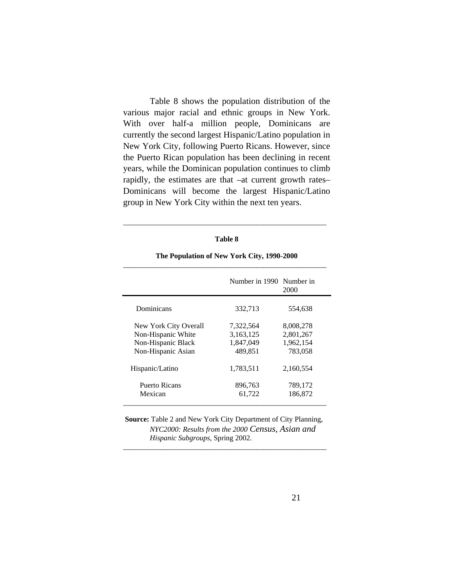Table 8 shows the population distribution of the various major racial and ethnic groups in New York. With over half-a million people, Dominicans are currently the second largest Hispanic/Latino population in New York City, following Puerto Ricans. However, since the Puerto Rican population has been declining in recent years, while the Dominican population continues to climb rapidly, the estimates are that –at current growth rates– Dominicans will become the largest Hispanic/Latino group in New York City within the next ten years.

#### **Table 8**

\_\_\_\_\_\_\_\_\_\_\_\_\_\_\_\_\_\_\_\_\_\_\_\_\_\_\_\_\_\_\_\_\_\_\_\_\_\_\_\_\_\_\_\_\_\_\_\_\_\_\_\_\_\_\_

|                       | Number in 1990 Number in | 2000      |
|-----------------------|--------------------------|-----------|
| Dominicans            | 332,713                  | 554,638   |
| New York City Overall | 7,322,564                | 8,008,278 |
| Non-Hispanic White    | 3,163,125                | 2,801,267 |
| Non-Hispanic Black    | 1,847,049                | 1,962,154 |
| Non-Hispanic Asian    | 489,851                  | 783,058   |
| Hispanic/Latino       | 1,783,511                | 2,160,554 |
| Puerto Ricans         | 896,763                  | 789,172   |
| Mexican               | 61,722                   | 186,872   |

# **The Population of New York City, 1990-2000**

 **Source:** Table 2 and New York City Department of City Planning, *NYC2000: Results from the 2000 Census, Asian and Hispanic Subgroups*, Spring 2002.

\_\_\_\_\_\_\_\_\_\_\_\_\_\_\_\_\_\_\_\_\_\_\_\_\_\_\_\_\_\_\_\_\_\_\_\_\_\_\_\_\_\_\_\_\_\_\_\_\_\_\_\_\_\_\_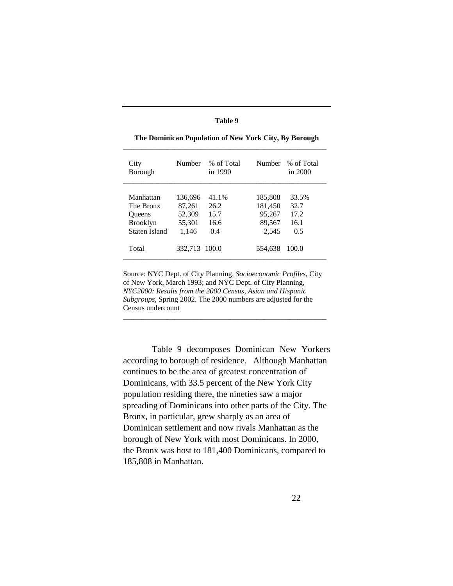| œ<br>וחו<br>я |  |
|---------------|--|
|---------------|--|

| City<br>Borough                                                             | Number                                         | % of Total<br>in 1990                |                                                 | Number % of Total<br>in 2000         |
|-----------------------------------------------------------------------------|------------------------------------------------|--------------------------------------|-------------------------------------------------|--------------------------------------|
| Manhattan<br>The Bronx<br><b>Oueens</b><br><b>Brooklyn</b><br>Staten Island | 136,696<br>87,261<br>52,309<br>55,301<br>1,146 | 41.1%<br>26.2<br>15.7<br>16.6<br>0.4 | 185,808<br>181,450<br>95,267<br>89,567<br>2,545 | 33.5%<br>32.7<br>17.2<br>16.1<br>0.5 |
| Total                                                                       | 332,713 100.0                                  |                                      | 554,638                                         | 100.0                                |

**The Dominican Population of New York City, By Borough** \_\_\_\_\_\_\_\_\_\_\_\_\_\_\_\_\_\_\_\_\_\_\_\_\_\_\_\_\_\_\_\_\_\_\_\_\_\_\_\_\_\_\_\_\_\_\_\_\_\_\_\_\_\_\_

Source: NYC Dept. of City Planning, *Socioeconomic Profiles*, City of New York, March 1993; and NYC Dept. of City Planning, *NYC2000: Results from the 2000 Census, Asian and Hispanic Subgroups*, Spring 2002. The 2000 numbers are adjusted for the Census undercount

\_\_\_\_\_\_\_\_\_\_\_\_\_\_\_\_\_\_\_\_\_\_\_\_\_\_\_\_\_\_\_\_\_\_\_\_\_\_\_\_\_\_\_\_\_\_\_\_\_\_\_\_\_\_\_

 Table 9 decomposes Dominican New Yorkers according to borough of residence. Although Manhattan continues to be the area of greatest concentration of Dominicans, with 33.5 percent of the New York City population residing there, the nineties saw a major spreading of Dominicans into other parts of the City. The Bronx, in particular, grew sharply as an area of Dominican settlement and now rivals Manhattan as the borough of New York with most Dominicans. In 2000, the Bronx was host to 181,400 Dominicans, compared to 185,808 in Manhattan.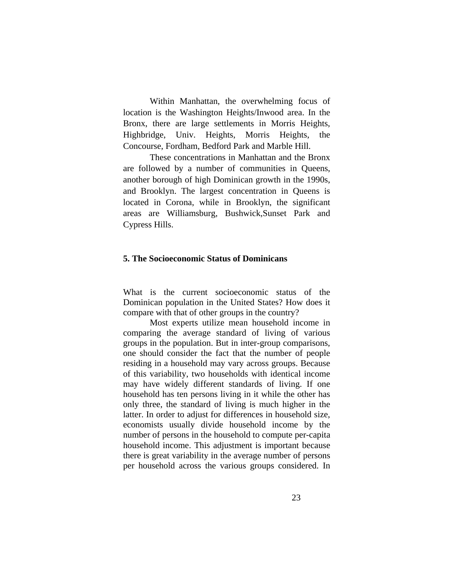Within Manhattan, the overwhelming focus of location is the Washington Heights/Inwood area. In the Bronx, there are large settlements in Morris Heights, Highbridge, Univ. Heights, Morris Heights, the Concourse, Fordham, Bedford Park and Marble Hill.

 These concentrations in Manhattan and the Bronx are followed by a number of communities in Queens, another borough of high Dominican growth in the 1990s, and Brooklyn. The largest concentration in Queens is located in Corona, while in Brooklyn, the significant areas are Williamsburg, Bushwick,Sunset Park and Cypress Hills.

### **5. The Socioeconomic Status of Dominicans**

What is the current socioeconomic status of the Dominican population in the United States? How does it compare with that of other groups in the country?

Most experts utilize mean household income in comparing the average standard of living of various groups in the population. But in inter-group comparisons, one should consider the fact that the number of people residing in a household may vary across groups. Because of this variability, two households with identical income may have widely different standards of living. If one household has ten persons living in it while the other has only three, the standard of living is much higher in the latter. In order to adjust for differences in household size, economists usually divide household income by the number of persons in the household to compute per-capita household income. This adjustment is important because there is great variability in the average number of persons per household across the various groups considered. In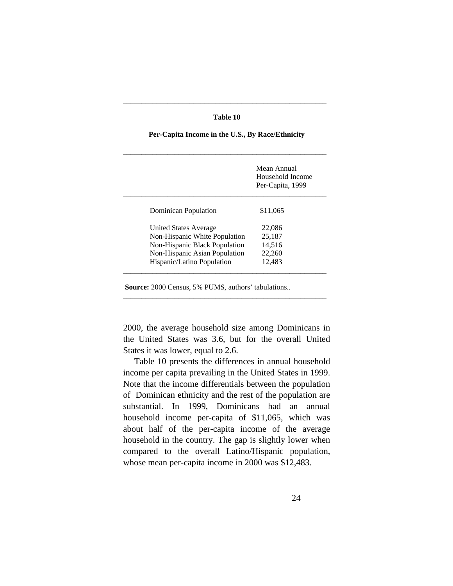### **Table 10**

\_\_\_\_\_\_\_\_\_\_\_\_\_\_\_\_\_\_\_\_\_\_\_\_\_\_\_\_\_\_\_\_\_\_\_\_\_\_\_\_\_\_\_\_\_\_\_\_\_\_\_\_\_\_\_

# \_\_\_\_\_\_\_\_\_\_\_\_\_\_\_\_\_\_\_\_\_\_\_\_\_\_\_\_\_\_\_\_\_\_\_\_\_\_\_\_\_\_\_\_\_\_\_\_\_\_\_\_\_\_\_ Mean Annual Household Income Per-Capita, 1999 \_\_\_\_\_\_\_\_\_\_\_\_\_\_\_\_\_\_\_\_\_\_\_\_\_\_\_\_\_\_\_\_\_\_\_\_\_\_\_\_\_\_\_\_\_\_\_\_\_\_\_\_\_\_\_ Dominican Population \$11,065 United States Average 22,086 Non-Hispanic White Population 25,187 Non-Hispanic Black Population 14,516 Non-Hispanic Asian Population 22,260 Hispanic/Latino Population 12,483 \_\_\_\_\_\_\_\_\_\_\_\_\_\_\_\_\_\_\_\_\_\_\_\_\_\_\_\_\_\_\_\_\_\_\_\_\_\_\_\_\_\_\_\_\_\_\_\_\_\_\_\_\_\_\_

 **Per-Capita Income in the U.S., By Race/Ethnicity** 

 **Source:** 2000 Census, 5% PUMS, authors' tabulations..

2000, the average household size among Dominicans in the United States was 3.6, but for the overall United States it was lower, equal to 2.6.

\_\_\_\_\_\_\_\_\_\_\_\_\_\_\_\_\_\_\_\_\_\_\_\_\_\_\_\_\_\_\_\_\_\_\_\_\_\_\_\_\_\_\_\_\_\_\_\_\_\_\_\_\_\_\_

 Table 10 presents the differences in annual household income per capita prevailing in the United States in 1999. Note that the income differentials between the population of Dominican ethnicity and the rest of the population are substantial. In 1999, Dominicans had an annual household income per-capita of \$11,065, which was about half of the per-capita income of the average household in the country. The gap is slightly lower when compared to the overall Latino/Hispanic population, whose mean per-capita income in 2000 was \$12,483.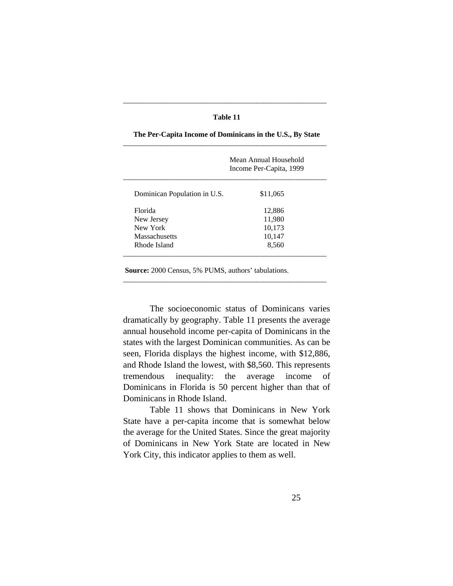### **Table 11**

\_\_\_\_\_\_\_\_\_\_\_\_\_\_\_\_\_\_\_\_\_\_\_\_\_\_\_\_\_\_\_\_\_\_\_\_\_\_\_\_\_\_\_\_\_\_\_\_\_\_\_\_\_\_\_

|                              | Mean Annual Household<br>Income Per-Capita, 1999 |
|------------------------------|--------------------------------------------------|
| Dominican Population in U.S. | \$11,065                                         |
| Florida                      | 12,886                                           |
| New Jersey                   | 11,980                                           |
| New York                     | 10,173                                           |
| Massachusetts                | 10,147                                           |
| Rhode Island                 | 8,560                                            |

 **The Per-Capita Income of Dominicans in the U.S., By State** 

 **Source:** 2000 Census, 5% PUMS, authors' tabulations.

 The socioeconomic status of Dominicans varies dramatically by geography. Table 11 presents the average annual household income per-capita of Dominicans in the states with the largest Dominican communities. As can be seen, Florida displays the highest income, with \$12,886, and Rhode Island the lowest, with \$8,560. This represents tremendous inequality: the average income of Dominicans in Florida is 50 percent higher than that of Dominicans in Rhode Island.

\_\_\_\_\_\_\_\_\_\_\_\_\_\_\_\_\_\_\_\_\_\_\_\_\_\_\_\_\_\_\_\_\_\_\_\_\_\_\_\_\_\_\_\_\_\_\_\_\_\_\_\_\_\_\_

 Table 11 shows that Dominicans in New York State have a per-capita income that is somewhat below the average for the United States. Since the great majority of Dominicans in New York State are located in New York City, this indicator applies to them as well.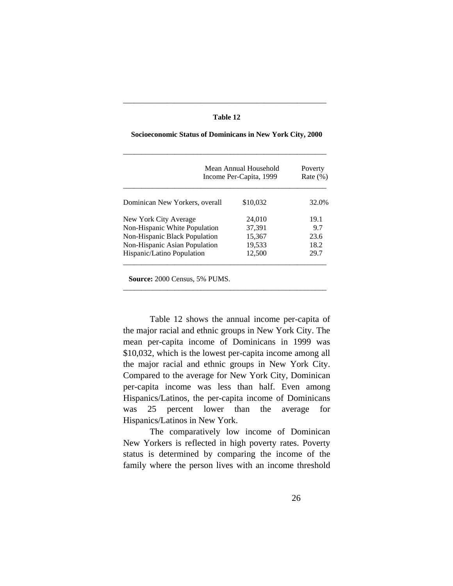| 'able |  |
|-------|--|
|-------|--|

\_\_\_\_\_\_\_\_\_\_\_\_\_\_\_\_\_\_\_\_\_\_\_\_\_\_\_\_\_\_\_\_\_\_\_\_\_\_\_\_\_\_\_\_\_\_\_\_\_\_\_\_\_\_\_

|                                | Mean Annual Household<br>Income Per-Capita, 1999 | Poverty<br>Rate $(\%)$ |
|--------------------------------|--------------------------------------------------|------------------------|
| Dominican New Yorkers, overall | \$10,032                                         | 32.0%                  |
| New York City Average          | 24,010                                           | 19.1                   |
| Non-Hispanic White Population  | 37.391                                           | 9.7                    |
| Non-Hispanic Black Population  | 15,367                                           | 23.6                   |
| Non-Hispanic Asian Population  | 19,533                                           | 18.2                   |
| Hispanic/Latino Population     | 12.500                                           | 29.7                   |

\_\_\_\_\_\_\_\_\_\_\_\_\_\_\_\_\_\_\_\_\_\_\_\_\_\_\_\_\_\_\_\_\_\_\_\_\_\_\_\_\_\_\_\_\_\_\_\_\_\_\_\_\_\_\_

### **Socioeconomic Status of Dominicans in New York City, 2000**

 **Source:** 2000 Census, 5% PUMS.

 Table 12 shows the annual income per-capita of the major racial and ethnic groups in New York City. The mean per-capita income of Dominicans in 1999 was \$10,032, which is the lowest per-capita income among all the major racial and ethnic groups in New York City. Compared to the average for New York City, Dominican per-capita income was less than half. Even among Hispanics/Latinos, the per-capita income of Dominicans was 25 percent lower than the average for Hispanics/Latinos in New York.

 The comparatively low income of Dominican New Yorkers is reflected in high poverty rates. Poverty status is determined by comparing the income of the family where the person lives with an income threshold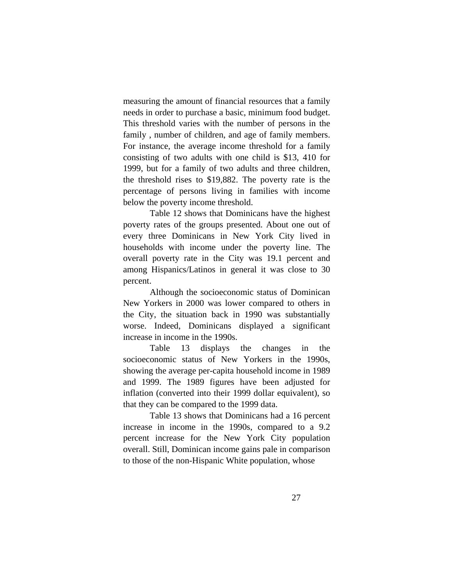measuring the amount of financial resources that a family needs in order to purchase a basic, minimum food budget. This threshold varies with the number of persons in the family , number of children, and age of family members. For instance, the average income threshold for a family consisting of two adults with one child is \$13, 410 for 1999, but for a family of two adults and three children, the threshold rises to \$19,882. The poverty rate is the percentage of persons living in families with income below the poverty income threshold.

 Table 12 shows that Dominicans have the highest poverty rates of the groups presented. About one out of every three Dominicans in New York City lived in households with income under the poverty line. The overall poverty rate in the City was 19.1 percent and among Hispanics/Latinos in general it was close to 30 percent.

 Although the socioeconomic status of Dominican New Yorkers in 2000 was lower compared to others in the City, the situation back in 1990 was substantially worse. Indeed, Dominicans displayed a significant increase in income in the 1990s.

 Table 13 displays the changes in the socioeconomic status of New Yorkers in the 1990s, showing the average per-capita household income in 1989 and 1999. The 1989 figures have been adjusted for inflation (converted into their 1999 dollar equivalent), so that they can be compared to the 1999 data.

 Table 13 shows that Dominicans had a 16 percent increase in income in the 1990s, compared to a 9.2 percent increase for the New York City population overall. Still, Dominican income gains pale in comparison to those of the non-Hispanic White population, whose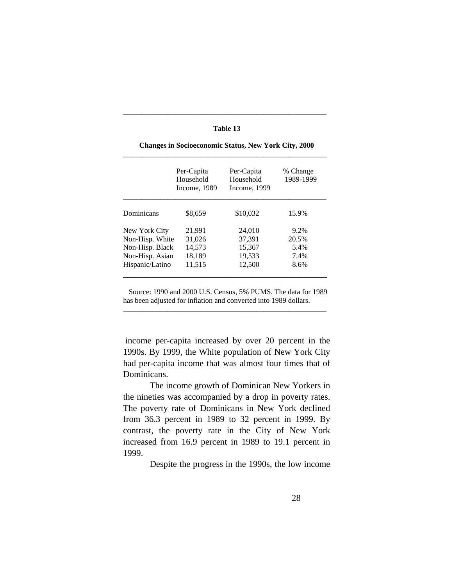|                 | Per-Capita<br>Household<br>Income, 1989 | Per-Capita<br>Household<br>Income, 1999 | % Change<br>1989-1999 |
|-----------------|-----------------------------------------|-----------------------------------------|-----------------------|
| Dominicans      | \$8,659                                 | \$10.032                                | 15.9%                 |
| New York City   | 21,991                                  | 24,010                                  | $9.2\%$               |
| Non-Hisp. White | 31,026                                  | 37.391                                  | 20.5%                 |
| Non-Hisp. Black | 14,573                                  | 15,367                                  | 5.4%                  |
| Non-Hisp. Asian | 18,189                                  | 19,533                                  | 7.4%                  |
| Hispanic/Latino | 11,515                                  | 12.500                                  | 8.6%                  |

 **Changes in Socioeconomic Status, New York City, 2000**

**Table 13**

\_\_\_\_\_\_\_\_\_\_\_\_\_\_\_\_\_\_\_\_\_\_\_\_\_\_\_\_\_\_\_\_\_\_\_\_\_\_\_\_\_\_\_\_\_\_\_\_\_\_\_\_\_\_\_

 Source: 1990 and 2000 U.S. Census, 5% PUMS. The data for 1989 has been adjusted for inflation and converted into 1989 dollars. \_\_\_\_\_\_\_\_\_\_\_\_\_\_\_\_\_\_\_\_\_\_\_\_\_\_\_\_\_\_\_\_\_\_\_\_\_\_\_\_\_\_\_\_\_\_\_\_\_\_\_\_\_\_\_

 income per-capita increased by over 20 percent in the 1990s. By 1999, the White population of New York City had per-capita income that was almost four times that of Dominicans.

 The income growth of Dominican New Yorkers in the nineties was accompanied by a drop in poverty rates. The poverty rate of Dominicans in New York declined from 36.3 percent in 1989 to 32 percent in 1999. By contrast, the poverty rate in the City of New York increased from 16.9 percent in 1989 to 19.1 percent in 1999.

Despite the progress in the 1990s, the low income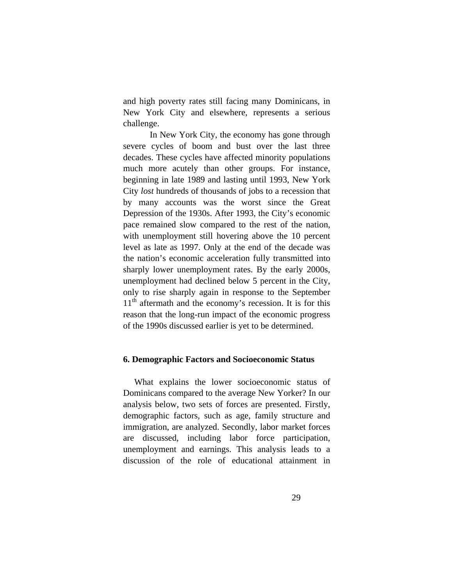and high poverty rates still facing many Dominicans, in New York City and elsewhere, represents a serious challenge.

In New York City, the economy has gone through severe cycles of boom and bust over the last three decades. These cycles have affected minority populations much more acutely than other groups. For instance, beginning in late 1989 and lasting until 1993, New York City *lost* hundreds of thousands of jobs to a recession that by many accounts was the worst since the Great Depression of the 1930s. After 1993, the City's economic pace remained slow compared to the rest of the nation, with unemployment still hovering above the 10 percent level as late as 1997. Only at the end of the decade was the nation's economic acceleration fully transmitted into sharply lower unemployment rates. By the early 2000s, unemployment had declined below 5 percent in the City, only to rise sharply again in response to the September  $11<sup>th</sup>$  aftermath and the economy's recession. It is for this reason that the long-run impact of the economic progress of the 1990s discussed earlier is yet to be determined.

### **6. Demographic Factors and Socioeconomic Status**

 What explains the lower socioeconomic status of Dominicans compared to the average New Yorker? In our analysis below, two sets of forces are presented. Firstly, demographic factors, such as age, family structure and immigration, are analyzed. Secondly, labor market forces are discussed, including labor force participation, unemployment and earnings. This analysis leads to a discussion of the role of educational attainment in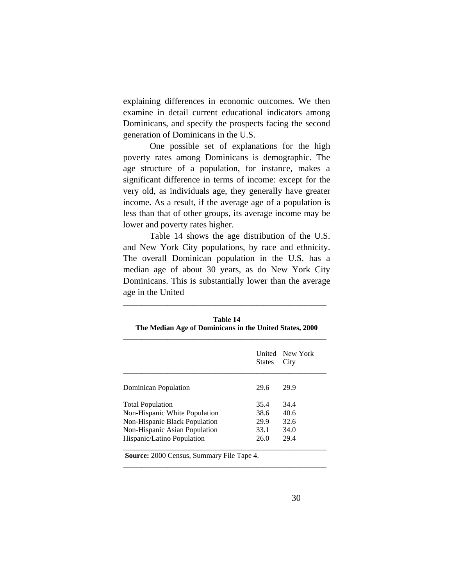explaining differences in economic outcomes. We then examine in detail current educational indicators among Dominicans, and specify the prospects facing the second generation of Dominicans in the U.S.

 One possible set of explanations for the high poverty rates among Dominicans is demographic. The age structure of a population, for instance, makes a significant difference in terms of income: except for the very old, as individuals age, they generally have greater income. As a result, if the average age of a population is less than that of other groups, its average income may be lower and poverty rates higher.

 Table 14 shows the age distribution of the U.S. and New York City populations, by race and ethnicity. The overall Dominican population in the U.S. has a median age of about 30 years, as do New York City Dominicans. This is substantially lower than the average age in the United

|                               | <b>States</b> | United New York<br>City |
|-------------------------------|---------------|-------------------------|
| Dominican Population          | 29.6          | 29.9                    |
| <b>Total Population</b>       | 35.4          | 34.4                    |
| Non-Hispanic White Population | 38.6          | 40.6                    |
| Non-Hispanic Black Population | 29.9          | 32.6                    |
| Non-Hispanic Asian Population | 33.1          | 34.0                    |
| Hispanic/Latino Population    | 26.0          | 29.4                    |

\_\_\_\_\_\_\_\_\_\_\_\_\_\_\_\_\_\_\_\_\_\_\_\_\_\_\_\_\_\_\_\_\_\_\_\_\_\_\_\_\_\_\_\_\_\_\_\_\_\_\_\_\_\_\_

**Table 14 The Median Age of Dominicans in the United States, 2000** 

\_\_\_\_\_\_\_\_\_\_\_\_\_\_\_\_\_\_\_\_\_\_\_\_\_\_\_\_\_\_\_\_\_\_\_\_\_\_\_\_\_\_\_\_\_\_\_\_\_\_\_\_\_\_\_

 **Source:** 2000 Census, Summary File Tape 4.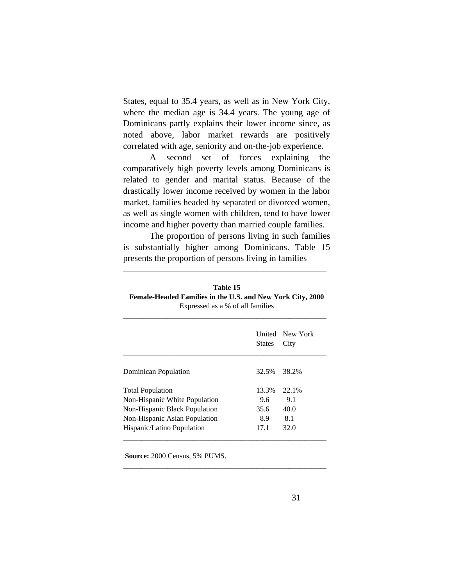States, equal to 35.4 years, as well as in New York City, where the median age is 34.4 years. The young age of Dominicans partly explains their lower income since, as noted above, labor market rewards are positively correlated with age, seniority and on-the-job experience.

 A second set of forces explaining the comparatively high poverty levels among Dominicans is related to gender and marital status. Because of the drastically lower income received by women in the labor market, families headed by separated or divorced women, as well as single women with children, tend to have lower income and higher poverty than married couple families.

 The proportion of persons living in such families is substantially higher among Dominicans. Table 15 presents the proportion of persons living in families

\_\_\_\_\_\_\_\_\_\_\_\_\_\_\_\_\_\_\_\_\_\_\_\_\_\_\_\_\_\_\_\_\_\_\_\_\_\_\_\_\_\_\_\_\_\_\_\_\_\_\_\_\_\_\_

| Table 15                                                   |
|------------------------------------------------------------|
| Female-Headed Families in the U.S. and New York City, 2000 |
| Expressed as a % of all families                           |

|                               | <b>States</b> | United New York<br>City |
|-------------------------------|---------------|-------------------------|
| Dominican Population          | 32.5%         | 38.2%                   |
| <b>Total Population</b>       | 13.3%         | 22.1%                   |
| Non-Hispanic White Population | 9.6           | 9.1                     |
| Non-Hispanic Black Population | 35.6          | 40.0                    |
| Non-Hispanic Asian Population | 8.9           | 8.1                     |
| Hispanic/Latino Population    | 17.1          | 32.0                    |

\_\_\_\_\_\_\_\_\_\_\_\_\_\_\_\_\_\_\_\_\_\_\_\_\_\_\_\_\_\_\_\_\_\_\_\_\_\_\_\_\_\_\_\_\_\_\_\_\_\_\_\_\_\_\_

 **Source:** 2000 Census, 5% PUMS.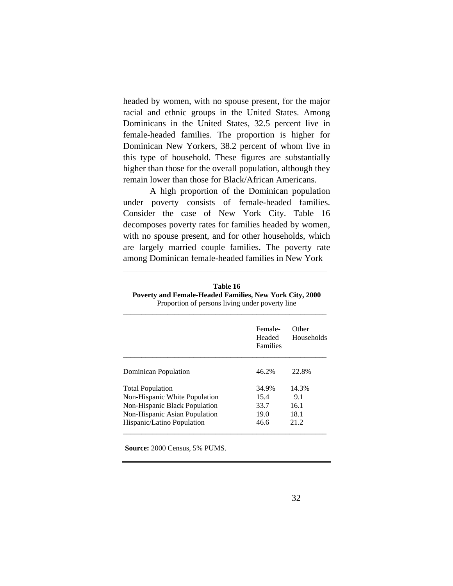headed by women, with no spouse present, for the major racial and ethnic groups in the United States. Among Dominicans in the United States, 32.5 percent live in female-headed families. The proportion is higher for Dominican New Yorkers, 38.2 percent of whom live in this type of household. These figures are substantially higher than those for the overall population, although they remain lower than those for Black/African Americans.

 A high proportion of the Dominican population under poverty consists of female-headed families. Consider the case of New York City. Table 16 decomposes poverty rates for families headed by women, with no spouse present, and for other households, which are largely married couple families. The poverty rate among Dominican female-headed families in New York

| Table 16                                                       |
|----------------------------------------------------------------|
| <b>Poverty and Female-Headed Families, New York City, 2000</b> |
| Proportion of persons living under poverty line                |

\_\_\_\_\_\_\_\_\_\_\_\_\_\_\_\_\_\_\_\_\_\_\_\_\_\_\_\_\_\_\_\_\_\_\_\_\_\_\_\_\_\_\_\_\_\_

|                               | Female-<br>Headed<br><b>Families</b> | Other<br>Households |
|-------------------------------|--------------------------------------|---------------------|
| Dominican Population          | 46.2%                                | 22.8%               |
| <b>Total Population</b>       | 34.9%                                | 14.3%               |
| Non-Hispanic White Population | 15.4                                 | 9.1                 |
| Non-Hispanic Black Population | 33.7                                 | 16.1                |
| Non-Hispanic Asian Population | 19.0                                 | 18.1                |
| Hispanic/Latino Population    | 46.6                                 | 21.2                |

 **Source:** 2000 Census, 5% PUMS.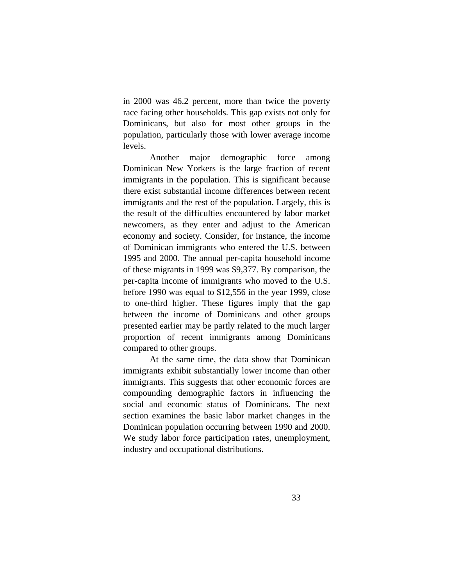in 2000 was 46.2 percent, more than twice the poverty race facing other households. This gap exists not only for Dominicans, but also for most other groups in the population, particularly those with lower average income levels.

 Another major demographic force among Dominican New Yorkers is the large fraction of recent immigrants in the population. This is significant because there exist substantial income differences between recent immigrants and the rest of the population. Largely, this is the result of the difficulties encountered by labor market newcomers, as they enter and adjust to the American economy and society. Consider, for instance, the income of Dominican immigrants who entered the U.S. between 1995 and 2000. The annual per-capita household income of these migrants in 1999 was \$9,377. By comparison, the per-capita income of immigrants who moved to the U.S. before 1990 was equal to \$12,556 in the year 1999, close to one-third higher. These figures imply that the gap between the income of Dominicans and other groups presented earlier may be partly related to the much larger proportion of recent immigrants among Dominicans compared to other groups.

 At the same time, the data show that Dominican immigrants exhibit substantially lower income than other immigrants. This suggests that other economic forces are compounding demographic factors in influencing the social and economic status of Dominicans. The next section examines the basic labor market changes in the Dominican population occurring between 1990 and 2000. We study labor force participation rates, unemployment, industry and occupational distributions.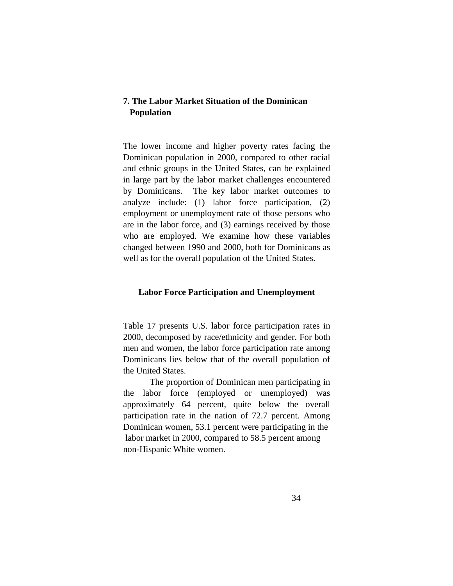# **7. The Labor Market Situation of the Dominican Population**

The lower income and higher poverty rates facing the Dominican population in 2000, compared to other racial and ethnic groups in the United States, can be explained in large part by the labor market challenges encountered by Dominicans. The key labor market outcomes to analyze include: (1) labor force participation, (2) employment or unemployment rate of those persons who are in the labor force, and (3) earnings received by those who are employed. We examine how these variables changed between 1990 and 2000, both for Dominicans as well as for the overall population of the United States.

# **Labor Force Participation and Unemployment**

Table 17 presents U.S. labor force participation rates in 2000, decomposed by race/ethnicity and gender. For both men and women, the labor force participation rate among Dominicans lies below that of the overall population of the United States.

 The proportion of Dominican men participating in the labor force (employed or unemployed) was approximately 64 percent, quite below the overall participation rate in the nation of 72.7 percent. Among Dominican women, 53.1 percent were participating in the labor market in 2000, compared to 58.5 percent among non-Hispanic White women.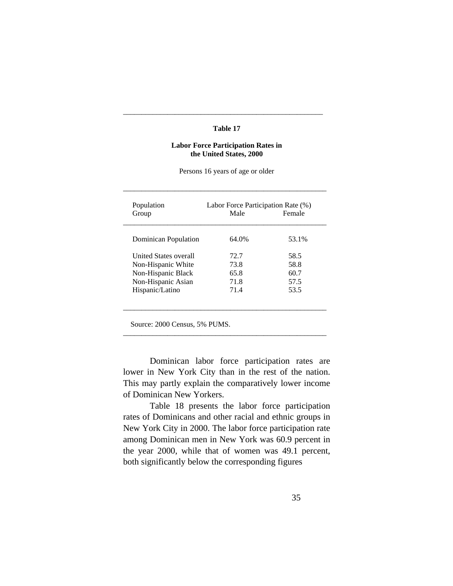#### **Table 17**

\_\_\_\_\_\_\_\_\_\_\_\_\_\_\_\_\_\_\_\_\_\_\_\_\_\_\_\_\_\_\_\_\_\_\_\_\_\_\_\_\_\_\_\_\_\_\_\_\_\_\_\_\_\_

#### **Labor Force Participation Rates in the United States, 2000**

Persons 16 years of age or older

\_\_\_\_\_\_\_\_\_\_\_\_\_\_\_\_\_\_\_\_\_\_\_\_\_\_\_\_\_\_\_\_\_\_\_\_\_\_\_\_\_\_\_\_\_\_\_\_\_\_\_\_\_\_\_

| Population                   |       | Labor Force Participation Rate (%) |  |
|------------------------------|-------|------------------------------------|--|
| Group                        | Male  | Female                             |  |
| Dominican Population         | 64.0% | 53.1%                              |  |
| <b>United States overall</b> | 72.7  | 58.5                               |  |
| Non-Hispanic White           | 73.8  | 58.8                               |  |
| Non-Hispanic Black           | 65.8  | 60.7                               |  |
| Non-Hispanic Asian           | 71.8  | 57.5                               |  |
| Hispanic/Latino              | 71.4  | 53.5                               |  |

Source: 2000 Census, 5% PUMS.

 Dominican labor force participation rates are lower in New York City than in the rest of the nation. This may partly explain the comparatively lower income of Dominican New Yorkers.

\_\_\_\_\_\_\_\_\_\_\_\_\_\_\_\_\_\_\_\_\_\_\_\_\_\_\_\_\_\_\_\_\_\_\_\_\_\_\_\_\_\_\_\_\_\_\_\_\_\_\_\_\_\_\_

 Table 18 presents the labor force participation rates of Dominicans and other racial and ethnic groups in New York City in 2000. The labor force participation rate among Dominican men in New York was 60.9 percent in the year 2000, while that of women was 49.1 percent, both significantly below the corresponding figures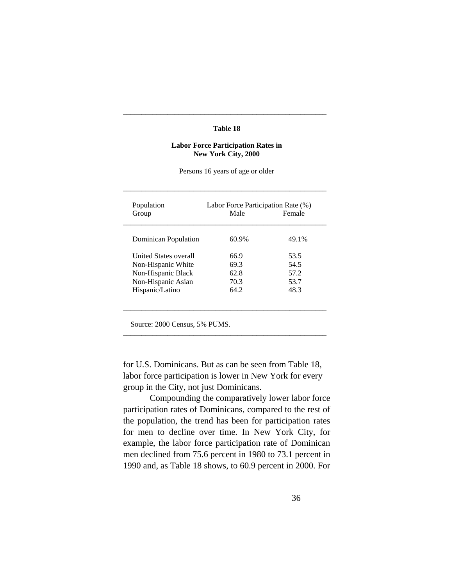#### **Table 18**

\_\_\_\_\_\_\_\_\_\_\_\_\_\_\_\_\_\_\_\_\_\_\_\_\_\_\_\_\_\_\_\_\_\_\_\_\_\_\_\_\_\_\_\_\_\_\_\_\_\_\_\_\_\_\_

#### **Labor Force Participation Rates in New York City, 2000**

Persons 16 years of age or older

\_\_\_\_\_\_\_\_\_\_\_\_\_\_\_\_\_\_\_\_\_\_\_\_\_\_\_\_\_\_\_\_\_\_\_\_\_\_\_\_\_\_\_\_\_\_\_\_\_\_\_\_\_\_\_

| Population<br>Group          | Labor Force Participation Rate (%)<br>Female<br>Male |       |
|------------------------------|------------------------------------------------------|-------|
|                              |                                                      |       |
| Dominican Population         | 60.9%                                                | 49.1% |
| <b>United States overall</b> | 66.9                                                 | 53.5  |
| Non-Hispanic White           | 69.3                                                 | 54.5  |
| Non-Hispanic Black           | 62.8                                                 | 57.2  |
| Non-Hispanic Asian           | 70.3                                                 | 53.7  |
| Hispanic/Latino              | 64.2                                                 | 48.3  |

Source: 2000 Census, 5% PUMS.

for U.S. Dominicans. But as can be seen from Table 18, labor force participation is lower in New York for every group in the City, not just Dominicans.

\_\_\_\_\_\_\_\_\_\_\_\_\_\_\_\_\_\_\_\_\_\_\_\_\_\_\_\_\_\_\_\_\_\_\_\_\_\_\_\_\_\_\_\_\_\_\_\_\_\_\_\_\_\_\_

 Compounding the comparatively lower labor force participation rates of Dominicans, compared to the rest of the population, the trend has been for participation rates for men to decline over time. In New York City, for example, the labor force participation rate of Dominican men declined from 75.6 percent in 1980 to 73.1 percent in 1990 and, as Table 18 shows, to 60.9 percent in 2000. For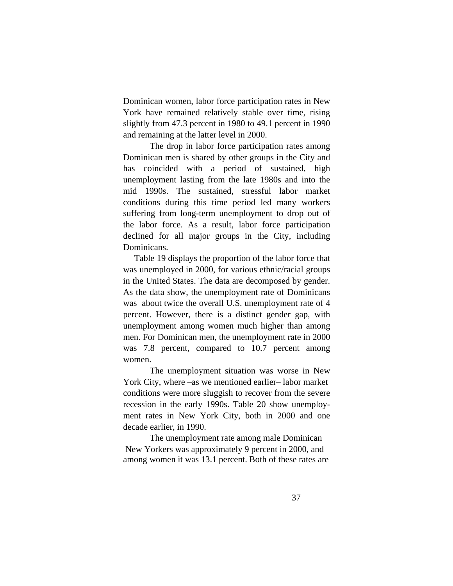Dominican women, labor force participation rates in New York have remained relatively stable over time, rising slightly from 47.3 percent in 1980 to 49.1 percent in 1990 and remaining at the latter level in 2000.

 The drop in labor force participation rates among Dominican men is shared by other groups in the City and has coincided with a period of sustained, high unemployment lasting from the late 1980s and into the mid 1990s. The sustained, stressful labor market conditions during this time period led many workers suffering from long-term unemployment to drop out of the labor force. As a result, labor force participation declined for all major groups in the City, including Dominicans.

 Table 19 displays the proportion of the labor force that was unemployed in 2000, for various ethnic/racial groups in the United States. The data are decomposed by gender. As the data show, the unemployment rate of Dominicans was about twice the overall U.S. unemployment rate of 4 percent. However, there is a distinct gender gap, with unemployment among women much higher than among men. For Dominican men, the unemployment rate in 2000 was 7.8 percent, compared to 10.7 percent among women.

 The unemployment situation was worse in New York City, where –as we mentioned earlier– labor market conditions were more sluggish to recover from the severe recession in the early 1990s. Table 20 show unemployment rates in New York City, both in 2000 and one decade earlier, in 1990.

 The unemployment rate among male Dominican New Yorkers was approximately 9 percent in 2000, and among women it was 13.1 percent. Both of these rates are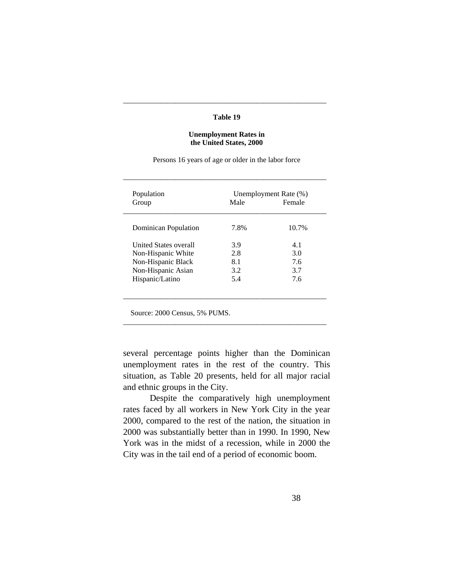#### **Table 19**

\_\_\_\_\_\_\_\_\_\_\_\_\_\_\_\_\_\_\_\_\_\_\_\_\_\_\_\_\_\_\_\_\_\_\_\_\_\_\_\_\_\_\_\_\_\_\_\_\_\_\_\_\_\_\_

#### **Unemployment Rates in the United States, 2000**

Persons 16 years of age or older in the labor force

\_\_\_\_\_\_\_\_\_\_\_\_\_\_\_\_\_\_\_\_\_\_\_\_\_\_\_\_\_\_\_\_\_\_\_\_\_\_\_\_\_\_\_\_\_\_\_\_\_\_\_\_\_\_\_

| Population                   | Unemployment Rate (%) |        |
|------------------------------|-----------------------|--------|
| Group                        | Male                  | Female |
| Dominican Population         | 7.8%                  | 10.7%  |
| <b>United States overall</b> | 3.9                   | 4.1    |
| Non-Hispanic White           | 2.8                   | 3.0    |
| Non-Hispanic Black           | 8.1                   | 7.6    |
| Non-Hispanic Asian           | 3.2                   | 3.7    |
| Hispanic/Latino              | 5.4                   | 7.6    |

Source: 2000 Census, 5% PUMS.

several percentage points higher than the Dominican unemployment rates in the rest of the country. This situation, as Table 20 presents, held for all major racial and ethnic groups in the City.

\_\_\_\_\_\_\_\_\_\_\_\_\_\_\_\_\_\_\_\_\_\_\_\_\_\_\_\_\_\_\_\_\_\_\_\_\_\_\_\_\_\_\_\_\_\_\_\_\_\_\_\_\_\_\_

 Despite the comparatively high unemployment rates faced by all workers in New York City in the year 2000, compared to the rest of the nation, the situation in 2000 was substantially better than in 1990. In 1990, New York was in the midst of a recession, while in 2000 the City was in the tail end of a period of economic boom.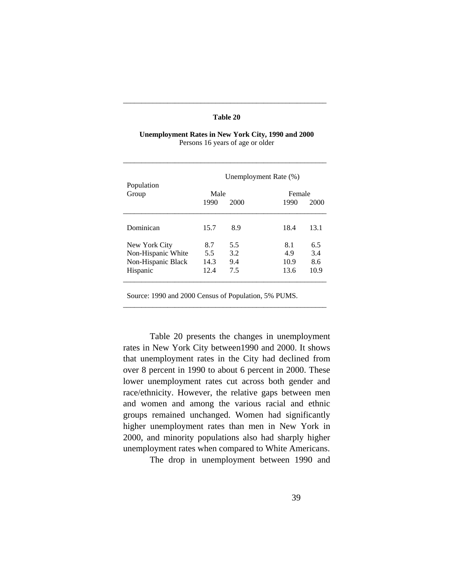## **Table 20**

\_\_\_\_\_\_\_\_\_\_\_\_\_\_\_\_\_\_\_\_\_\_\_\_\_\_\_\_\_\_\_\_\_\_\_\_\_\_\_\_\_\_\_\_\_\_\_\_\_\_\_\_\_\_\_

| <b>Unemployment Rates in New York City, 1990 and 2000</b> |  |
|-----------------------------------------------------------|--|
| Persons 16 years of age or older                          |  |

\_\_\_\_\_\_\_\_\_\_\_\_\_\_\_\_\_\_\_\_\_\_\_\_\_\_\_\_\_\_\_\_\_\_\_\_\_\_\_\_\_\_\_\_\_\_\_\_\_\_\_\_\_\_\_

|                     | Unemployment Rate (%) |      |                |      |
|---------------------|-----------------------|------|----------------|------|
| Population<br>Group | Male<br>1990          | 2000 | Female<br>1990 | 2000 |
| Dominican           | 15.7                  | 8.9  | 18.4           | 13.1 |
| New York City       | 8.7                   | 5.5  | 8.1            | 6.5  |
| Non-Hispanic White  | 5.5                   | 3.2  | 4.9            | 3.4  |
| Non-Hispanic Black  | 14.3                  | 9.4  | 10.9           | 8.6  |
| Hispanic            | 12.4                  | 7.5  | 13.6           | 10.9 |

Source: 1990 and 2000 Census of Population, 5% PUMS.

\_\_\_\_\_\_\_\_\_\_\_\_\_\_\_\_\_\_\_\_\_\_\_\_\_\_\_\_\_\_\_\_\_\_\_\_\_\_\_\_\_\_\_\_\_\_\_\_\_\_\_\_\_\_\_

 Table 20 presents the changes in unemployment rates in New York City between1990 and 2000. It shows that unemployment rates in the City had declined from over 8 percent in 1990 to about 6 percent in 2000. These lower unemployment rates cut across both gender and race/ethnicity. However, the relative gaps between men and women and among the various racial and ethnic groups remained unchanged. Women had significantly higher unemployment rates than men in New York in 2000, and minority populations also had sharply higher unemployment rates when compared to White Americans.

The drop in unemployment between 1990 and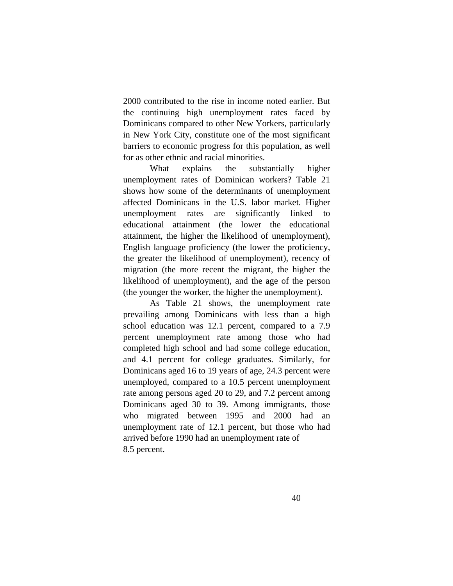2000 contributed to the rise in income noted earlier. But the continuing high unemployment rates faced by Dominicans compared to other New Yorkers, particularly in New York City, constitute one of the most significant barriers to economic progress for this population, as well for as other ethnic and racial minorities.

 What explains the substantially higher unemployment rates of Dominican workers? Table 21 shows how some of the determinants of unemployment affected Dominicans in the U.S. labor market. Higher unemployment rates are significantly linked to educational attainment (the lower the educational attainment, the higher the likelihood of unemployment), English language proficiency (the lower the proficiency, the greater the likelihood of unemployment), recency of migration (the more recent the migrant, the higher the likelihood of unemployment), and the age of the person (the younger the worker, the higher the unemployment).

 As Table 21 shows, the unemployment rate prevailing among Dominicans with less than a high school education was 12.1 percent, compared to a 7.9 percent unemployment rate among those who had completed high school and had some college education, and 4.1 percent for college graduates. Similarly, for Dominicans aged 16 to 19 years of age, 24.3 percent were unemployed, compared to a 10.5 percent unemployment rate among persons aged 20 to 29, and 7.2 percent among Dominicans aged 30 to 39. Among immigrants, those who migrated between 1995 and 2000 had an unemployment rate of 12.1 percent, but those who had arrived before 1990 had an unemployment rate of 8.5 percent.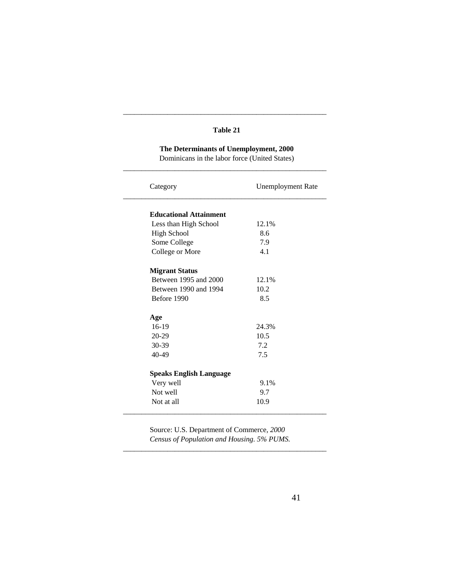# **Table 21**

\_\_\_\_\_\_\_\_\_\_\_\_\_\_\_\_\_\_\_\_\_\_\_\_\_\_\_\_\_\_\_\_\_\_\_\_\_\_\_\_\_\_\_\_\_\_\_\_\_\_\_\_\_\_\_

# **The Determinants of Unemployment, 2000**

 Dominicans in the labor force (United States) \_\_\_\_\_\_\_\_\_\_\_\_\_\_\_\_\_\_\_\_\_\_\_\_\_\_\_\_\_\_\_\_\_\_\_\_\_\_\_\_\_\_\_\_\_\_\_\_\_\_\_\_\_\_\_

| Category                       | <b>Unemployment Rate</b> |
|--------------------------------|--------------------------|
| <b>Educational Attainment</b>  |                          |
| Less than High School          | 12.1%                    |
|                                | 8.6                      |
| <b>High School</b>             |                          |
| Some College                   | 7.9                      |
| College or More                | 4.1                      |
| <b>Migrant Status</b>          |                          |
| Between 1995 and 2000          | 12.1%                    |
| Between 1990 and 1994          | 10.2                     |
| Before 1990                    | 8.5                      |
| Age                            |                          |
| $16-19$                        | 24.3%                    |
| 20-29                          | 10.5                     |
| 30-39                          | 7.2                      |
| 40-49                          | 7.5                      |
| <b>Speaks English Language</b> |                          |
| Very well                      | 9.1%                     |
| Not well                       | 9.7                      |
| Not at all                     | 10.9                     |
|                                |                          |

 Source: U.S. Department of Commerce, *2000 Census of Population and Housing. 5% PUMS.*

\_\_\_\_\_\_\_\_\_\_\_\_\_\_\_\_\_\_\_\_\_\_\_\_\_\_\_\_\_\_\_\_\_\_\_\_\_\_\_\_\_\_\_\_\_\_\_\_\_\_\_\_\_\_\_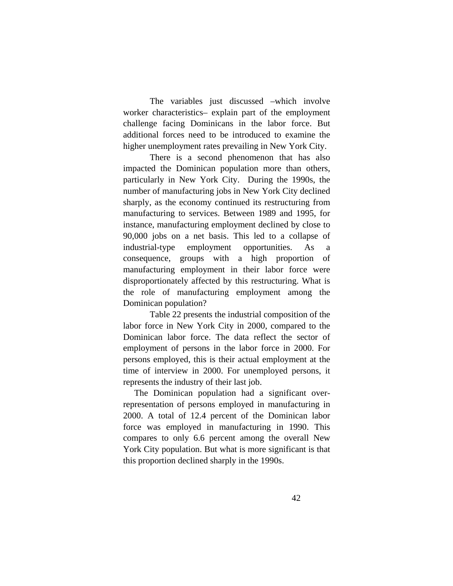The variables just discussed –which involve worker characteristics– explain part of the employment challenge facing Dominicans in the labor force. But additional forces need to be introduced to examine the higher unemployment rates prevailing in New York City.

 There is a second phenomenon that has also impacted the Dominican population more than others, particularly in New York City. During the 1990s, the number of manufacturing jobs in New York City declined sharply, as the economy continued its restructuring from manufacturing to services. Between 1989 and 1995, for instance, manufacturing employment declined by close to 90,000 jobs on a net basis. This led to a collapse of industrial-type employment opportunities. As a consequence, groups with a high proportion of manufacturing employment in their labor force were disproportionately affected by this restructuring. What is the role of manufacturing employment among the Dominican population?

 Table 22 presents the industrial composition of the labor force in New York City in 2000, compared to the Dominican labor force. The data reflect the sector of employment of persons in the labor force in 2000. For persons employed, this is their actual employment at the time of interview in 2000. For unemployed persons, it represents the industry of their last job.

 The Dominican population had a significant overrepresentation of persons employed in manufacturing in 2000. A total of 12.4 percent of the Dominican labor force was employed in manufacturing in 1990. This compares to only 6.6 percent among the overall New York City population. But what is more significant is that this proportion declined sharply in the 1990s.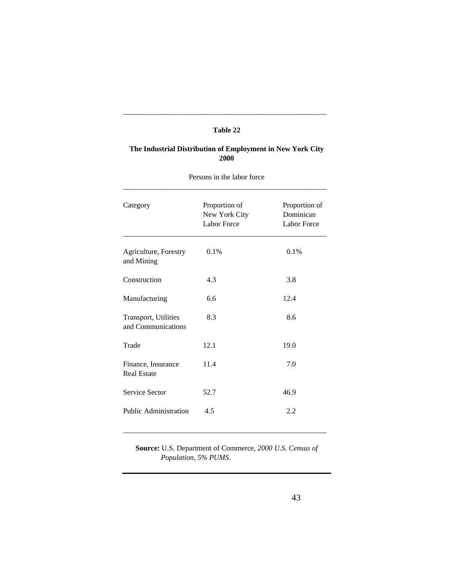## **Table 22**

\_\_\_\_\_\_\_\_\_\_\_\_\_\_\_\_\_\_\_\_\_\_\_\_\_\_\_\_\_\_\_\_\_\_\_\_\_\_\_\_\_\_\_\_\_\_\_\_\_\_\_\_\_\_\_

# **The Industrial Distribution of Employment in New York City 2000**

| Category                                   | Proportion of<br>New York City<br><b>Labor Force</b> | Proportion of<br>Dominican<br><b>Labor Force</b> |
|--------------------------------------------|------------------------------------------------------|--------------------------------------------------|
| Agriculture, Forestry<br>and Mining        | 0.1%                                                 | 0.1%                                             |
| Construction                               | 4.3                                                  | 3.8                                              |
| Manufacturing                              | 6.6                                                  | 12.4                                             |
| Transport, Utilities<br>and Communications | 8.3                                                  | 8.6                                              |
| Trade                                      | 12.1                                                 | 19.0                                             |
| Finance, Insurance<br><b>Real Estate</b>   | 11.4                                                 | 7.0                                              |
| Service Sector                             | 52.7                                                 | 46.9                                             |
| Public Administration                      | 4.5                                                  | 2.2                                              |

Persons in the labor force

 **Source:** U.S. Department of Commerce, *2000 U.S. Census of Population, 5% PUMS*.

\_\_\_\_\_\_\_\_\_\_\_\_\_\_\_\_\_\_\_\_\_\_\_\_\_\_\_\_\_\_\_\_\_\_\_\_\_\_\_\_\_\_\_\_\_\_\_\_\_\_\_\_\_\_\_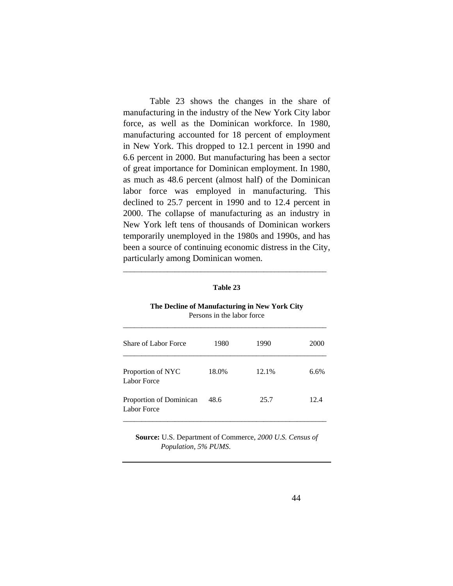Table 23 shows the changes in the share of manufacturing in the industry of the New York City labor force, as well as the Dominican workforce. In 1980, manufacturing accounted for 18 percent of employment in New York. This dropped to 12.1 percent in 1990 and 6.6 percent in 2000. But manufacturing has been a sector of great importance for Dominican employment. In 1980, as much as 48.6 percent (almost half) of the Dominican labor force was employed in manufacturing. This declined to 25.7 percent in 1990 and to 12.4 percent in 2000. The collapse of manufacturing as an industry in New York left tens of thousands of Dominican workers temporarily unemployed in the 1980s and 1990s, and has been a source of continuing economic distress in the City, particularly among Dominican women.

| Table 23 |
|----------|
|----------|

\_\_\_\_\_\_\_\_\_\_\_\_\_\_\_\_\_\_\_\_\_\_\_\_\_\_\_\_\_\_\_\_\_\_\_\_\_\_\_\_\_\_\_\_\_\_\_\_\_\_\_\_\_\_\_

#### **The Decline of Manufacturing in New York City** Persons in the labor force

| Share of Labor Force                    | 1980  | 1990  | 2000 |
|-----------------------------------------|-------|-------|------|
| Proportion of NYC<br><b>Labor Force</b> | 18.0% | 12.1% | 6.6% |
| Proportion of Dominican<br>Labor Force  | 48.6  | 25.7  | 12.4 |

 **Source:** U.S. Department of Commerce, *2000 U.S. Census of Population, 5% PUMS*.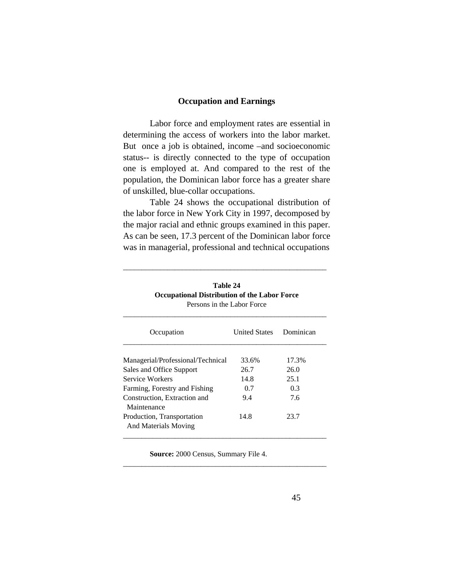# **Occupation and Earnings**

 Labor force and employment rates are essential in determining the access of workers into the labor market. But once a job is obtained, income –and socioeconomic status-- is directly connected to the type of occupation one is employed at. And compared to the rest of the population, the Dominican labor force has a greater share of unskilled, blue-collar occupations.

 Table 24 shows the occupational distribution of the labor force in New York City in 1997, decomposed by the major racial and ethnic groups examined in this paper. As can be seen, 17.3 percent of the Dominican labor force was in managerial, professional and technical occupations

| I CIBONS III UIC LADOI I OICC                      |                      |           |  |
|----------------------------------------------------|----------------------|-----------|--|
| Occupation                                         | <b>United States</b> | Dominican |  |
| Managerial/Professional/Technical                  | 33.6%                | 17.3%     |  |
| Sales and Office Support                           | 26.7                 | 26.0      |  |
| Service Workers                                    | 14.8                 | 25.1      |  |
| Farming, Forestry and Fishing                      | 0.7                  | 0.3       |  |
| Construction, Extraction and<br>Maintenance        | 9.4                  | 7.6       |  |
| Production, Transportation<br>And Materials Moving | 14.8                 | 23.7      |  |

 **Table 24 Occupational Distribution of the Labor Force** Persons in the Labor Force

\_\_\_\_\_\_\_\_\_\_\_\_\_\_\_\_\_\_\_\_\_\_\_\_\_\_\_\_\_\_\_\_\_\_\_\_\_\_\_\_\_\_\_\_\_\_\_\_\_\_\_\_\_\_\_

 **Source:** 2000 Census, Summary File 4.

\_\_\_\_\_\_\_\_\_\_\_\_\_\_\_\_\_\_\_\_\_\_\_\_\_\_\_\_\_\_\_\_\_\_\_\_\_\_\_\_\_\_\_\_\_\_\_\_\_\_\_\_\_\_\_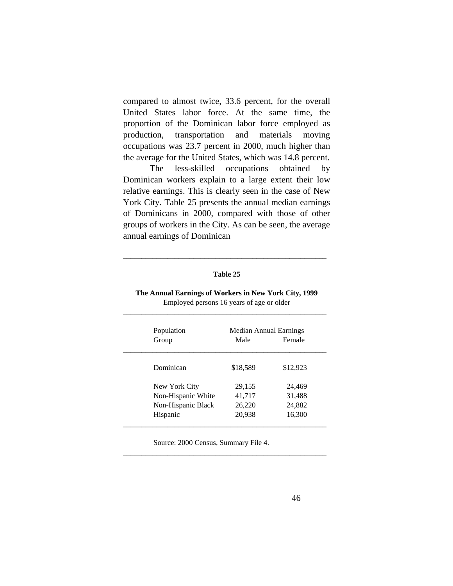compared to almost twice, 33.6 percent, for the overall United States labor force. At the same time, the proportion of the Dominican labor force employed as production, transportation and materials moving occupations was 23.7 percent in 2000, much higher than the average for the United States, which was 14.8 percent.

 The less-skilled occupations obtained by Dominican workers explain to a large extent their low relative earnings. This is clearly seen in the case of New York City. Table 25 presents the annual median earnings of Dominicans in 2000, compared with those of other groups of workers in the City. As can be seen, the average annual earnings of Dominican

#### **Table 25**

\_\_\_\_\_\_\_\_\_\_\_\_\_\_\_\_\_\_\_\_\_\_\_\_\_\_\_\_\_\_\_\_\_\_\_\_\_\_\_\_\_\_\_\_\_\_\_\_\_\_\_\_\_\_\_

| Population<br>Group                                                   | Median Annual Earnings<br>Male       | Female                               |
|-----------------------------------------------------------------------|--------------------------------------|--------------------------------------|
| Dominican                                                             | \$18,589                             | \$12,923                             |
| New York City<br>Non-Hispanic White<br>Non-Hispanic Black<br>Hispanic | 29,155<br>41,717<br>26,220<br>20,938 | 24,469<br>31,488<br>24,882<br>16,300 |

 **The Annual Earnings of Workers in New York City, 1999** Employed persons 16 years of age or older \_\_\_\_\_\_\_\_\_\_\_\_\_\_\_\_\_\_\_\_\_\_\_\_\_\_\_\_\_\_\_\_\_\_\_\_\_\_\_\_\_\_\_\_\_\_\_\_\_\_\_\_\_\_\_

Source: 2000 Census, Summary File 4.

\_\_\_\_\_\_\_\_\_\_\_\_\_\_\_\_\_\_\_\_\_\_\_\_\_\_\_\_\_\_\_\_\_\_\_\_\_\_\_\_\_\_\_\_\_\_\_\_\_\_\_\_\_\_\_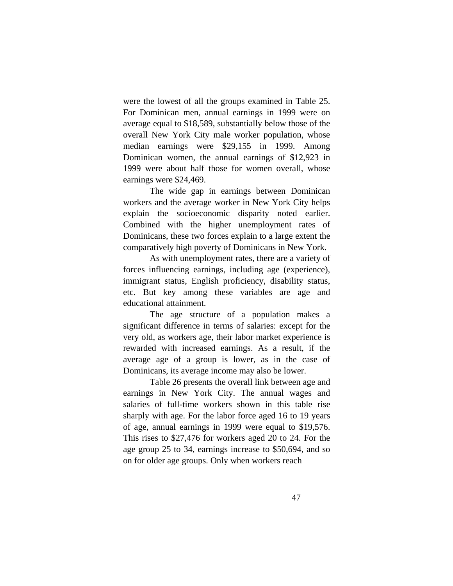were the lowest of all the groups examined in Table 25. For Dominican men, annual earnings in 1999 were on average equal to \$18,589, substantially below those of the overall New York City male worker population, whose median earnings were \$29,155 in 1999. Among Dominican women, the annual earnings of \$12,923 in 1999 were about half those for women overall, whose earnings were \$24,469.

 The wide gap in earnings between Dominican workers and the average worker in New York City helps explain the socioeconomic disparity noted earlier. Combined with the higher unemployment rates of Dominicans, these two forces explain to a large extent the comparatively high poverty of Dominicans in New York.

 As with unemployment rates, there are a variety of forces influencing earnings, including age (experience), immigrant status, English proficiency, disability status, etc. But key among these variables are age and educational attainment.

 The age structure of a population makes a significant difference in terms of salaries: except for the very old, as workers age, their labor market experience is rewarded with increased earnings. As a result, if the average age of a group is lower, as in the case of Dominicans, its average income may also be lower.

 Table 26 presents the overall link between age and earnings in New York City. The annual wages and salaries of full-time workers shown in this table rise sharply with age. For the labor force aged 16 to 19 years of age, annual earnings in 1999 were equal to \$19,576. This rises to \$27,476 for workers aged 20 to 24. For the age group 25 to 34, earnings increase to \$50,694, and so on for older age groups. Only when workers reach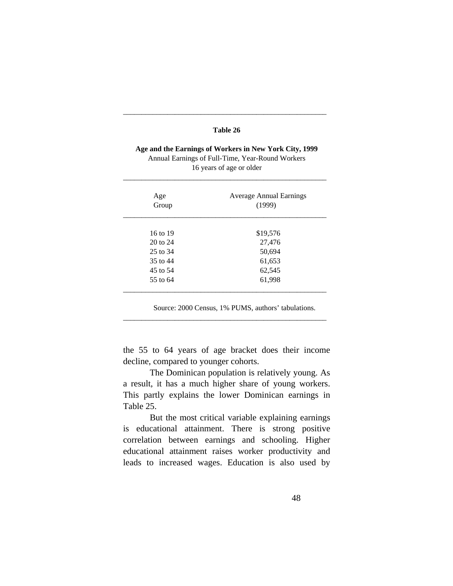# **Table 26**

\_\_\_\_\_\_\_\_\_\_\_\_\_\_\_\_\_\_\_\_\_\_\_\_\_\_\_\_\_\_\_\_\_\_\_\_\_\_\_\_\_\_\_\_\_\_\_\_\_\_\_\_\_\_\_

 **Age and the Earnings of Workers in New York City, 1999** Annual Earnings of Full-Time, Year-Round Workers 16 years of age or older

\_\_\_\_\_\_\_\_\_\_\_\_\_\_\_\_\_\_\_\_\_\_\_\_\_\_\_\_\_\_\_\_\_\_\_\_\_\_\_\_\_\_\_\_\_\_\_\_\_\_\_\_\_\_\_

| Age<br>Group | <b>Average Annual Earnings</b><br>(1999) |
|--------------|------------------------------------------|
|              |                                          |
| 16 to 19     | \$19,576                                 |
| 20 to 24     | 27,476                                   |
| 25 to 34     | 50,694                                   |
| 35 to 44     | 61,653                                   |
| 45 to 54     | 62,545                                   |
| 55 to 64     | 61,998                                   |
|              |                                          |

Source: 2000 Census, 1% PUMS, authors' tabulations.

the 55 to 64 years of age bracket does their income decline, compared to younger cohorts.

\_\_\_\_\_\_\_\_\_\_\_\_\_\_\_\_\_\_\_\_\_\_\_\_\_\_\_\_\_\_\_\_\_\_\_\_\_\_\_\_\_\_\_\_\_\_\_\_\_\_\_\_\_\_\_

 The Dominican population is relatively young. As a result, it has a much higher share of young workers. This partly explains the lower Dominican earnings in Table 25.

 But the most critical variable explaining earnings is educational attainment. There is strong positive correlation between earnings and schooling. Higher educational attainment raises worker productivity and leads to increased wages. Education is also used by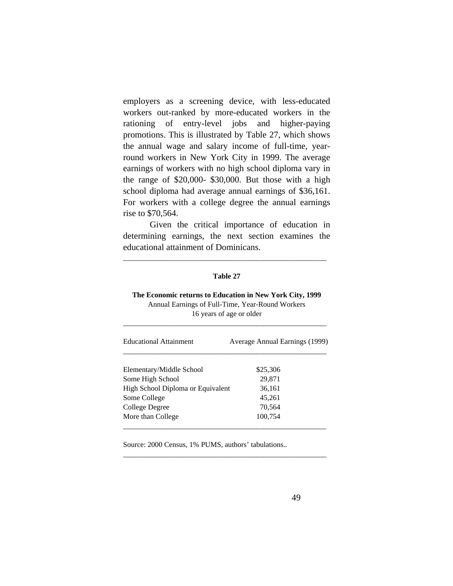employers as a screening device, with less-educated workers out-ranked by more-educated workers in the rationing of entry-level jobs and higher-paying promotions. This is illustrated by Table 27, which shows the annual wage and salary income of full-time, yearround workers in New York City in 1999. The average earnings of workers with no high school diploma vary in the range of \$20,000- \$30,000. But those with a high school diploma had average annual earnings of \$36,161. For workers with a college degree the annual earnings rise to \$70,564.

 Given the critical importance of education in determining earnings, the next section examines the educational attainment of Dominicans.

\_\_\_\_\_\_\_\_\_\_\_\_\_\_\_\_\_\_\_\_\_\_\_\_\_\_\_\_\_\_\_\_\_\_\_\_\_\_\_\_\_\_\_\_\_\_\_\_\_\_\_\_\_\_\_

#### **Table 27**

# **The Economic returns to Education in New York City, 1999** Annual Earnings of Full-Time, Year-Round Workers 16 years of age or older

\_\_\_\_\_\_\_\_\_\_\_\_\_\_\_\_\_\_\_\_\_\_\_\_\_\_\_\_\_\_\_\_\_\_\_\_\_\_\_\_\_\_\_\_\_\_\_\_\_\_\_\_\_\_\_

| <b>Educational Attainment</b>     | Average Annual Earnings (1999) |
|-----------------------------------|--------------------------------|
| Elementary/Middle School          | \$25,306                       |
| Some High School                  | 29.871                         |
| High School Diploma or Equivalent | 36,161                         |
| Some College                      | 45.261                         |
| College Degree                    | 70,564                         |
| More than College                 | 100,754                        |

\_\_\_\_\_\_\_\_\_\_\_\_\_\_\_\_\_\_\_\_\_\_\_\_\_\_\_\_\_\_\_\_\_\_\_\_\_\_\_\_\_\_\_\_\_\_\_\_\_\_\_\_\_\_\_

Source: 2000 Census, 1% PUMS, authors' tabulations..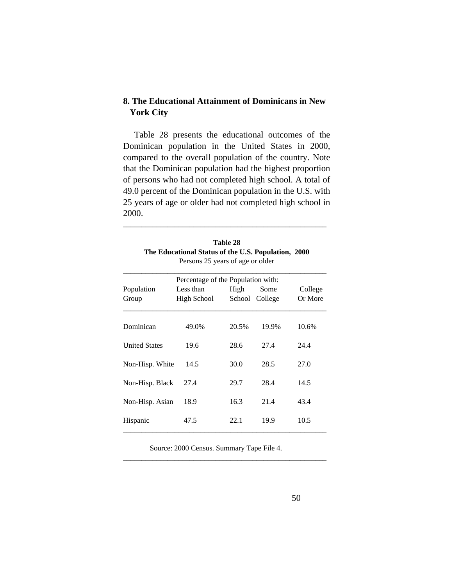# **8. The Educational Attainment of Dominicans in New York City**

 Table 28 presents the educational outcomes of the Dominican population in the United States in 2000, compared to the overall population of the country. Note that the Dominican population had the highest proportion of persons who had not completed high school. A total of 49.0 percent of the Dominican population in the U.S. with 25 years of age or older had not completed high school in 2000.

| <b>Table 28</b>                                     |  |
|-----------------------------------------------------|--|
| The Educational Status of the U.S. Population, 2000 |  |
| Persons 25 years of age or older                    |  |

\_\_\_\_\_\_\_\_\_\_\_\_\_\_\_\_\_\_\_\_\_\_\_\_\_\_\_\_\_\_\_\_\_\_\_\_\_\_\_\_\_\_\_\_\_\_\_\_\_\_\_\_\_\_\_

| Percentage of the Population with: |                          |       |                        |                    |  |  |
|------------------------------------|--------------------------|-------|------------------------|--------------------|--|--|
| Population<br>Group                | Less than<br>High School | High  | Some<br>School College | College<br>Or More |  |  |
| Dominican                          | 49.0%                    | 20.5% | 19.9%                  | 10.6%              |  |  |
| <b>United States</b>               | 19.6                     | 28.6  | 27.4                   | 24.4               |  |  |
| Non-Hisp. White                    | 14.5                     | 30.0  | 28.5                   | 27.0               |  |  |
| Non-Hisp. Black                    | 27.4                     | 29.7  | 28.4                   | 14.5               |  |  |
| Non-Hisp. Asian                    | 18.9                     | 16.3  | 21.4                   | 43.4               |  |  |
| Hispanic                           | 47.5                     | 22.1  | 19.9                   | 10.5               |  |  |

Source: 2000 Census. Summary Tape File 4.

\_\_\_\_\_\_\_\_\_\_\_\_\_\_\_\_\_\_\_\_\_\_\_\_\_\_\_\_\_\_\_\_\_\_\_\_\_\_\_\_\_\_\_\_\_\_\_\_\_\_\_\_\_\_\_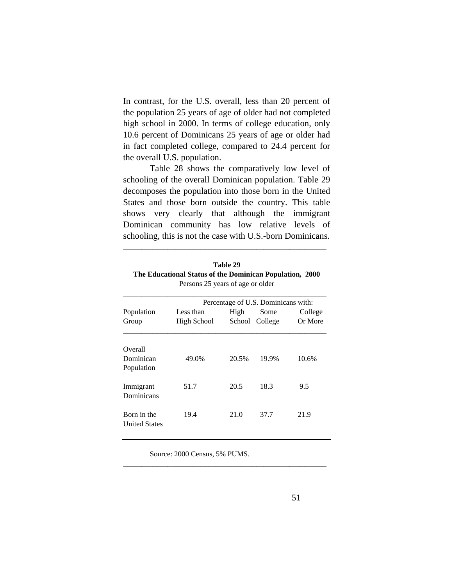In contrast, for the U.S. overall, less than 20 percent of the population 25 years of age of older had not completed high school in 2000. In terms of college education, only 10.6 percent of Dominicans 25 years of age or older had in fact completed college, compared to 24.4 percent for the overall U.S. population.

 Table 28 shows the comparatively low level of schooling of the overall Dominican population. Table 29 decomposes the population into those born in the United States and those born outside the country. This table shows very clearly that although the immigrant Dominican community has low relative levels of schooling, this is not the case with U.S.-born Dominicans.

| Table 29                                                 |  |
|----------------------------------------------------------|--|
| The Educational Status of the Dominican Population, 2000 |  |
| Persons 25 years of age or older                         |  |

\_\_\_\_\_\_\_\_\_\_\_\_\_\_\_\_\_\_\_\_\_\_\_\_\_\_\_\_\_\_\_\_\_\_\_\_\_\_\_\_\_\_\_\_\_\_\_\_\_\_\_\_\_\_\_

|                                     | Percentage of U.S. Dominicans with: |                |                 |                    |  |
|-------------------------------------|-------------------------------------|----------------|-----------------|--------------------|--|
| Population<br>Group                 | Less than<br>High School            | High<br>School | Some<br>College | College<br>Or More |  |
| Overall<br>Dominican<br>Population  | 49.0%                               | 20.5%          | 19.9%           | 10.6%              |  |
| Immigrant<br>Dominicans             | 51.7                                | 20.5           | 18.3            | 9.5                |  |
| Born in the<br><b>United States</b> | 19.4                                | 21.0           | 37.7            | 21.9               |  |

\_\_\_\_\_\_\_\_\_\_\_\_\_\_\_\_\_\_\_\_\_\_\_\_\_\_\_\_\_\_\_\_\_\_\_\_\_\_\_\_\_\_\_\_\_\_\_\_\_\_\_\_\_\_\_

Source: 2000 Census, 5% PUMS.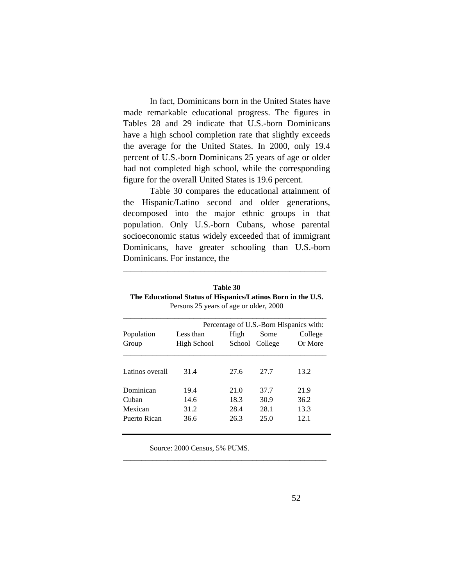In fact, Dominicans born in the United States have made remarkable educational progress. The figures in Tables 28 and 29 indicate that U.S.-born Dominicans have a high school completion rate that slightly exceeds the average for the United States. In 2000, only 19.4 percent of U.S.-born Dominicans 25 years of age or older had not completed high school, while the corresponding figure for the overall United States is 19.6 percent.

 Table 30 compares the educational attainment of the Hispanic/Latino second and older generations, decomposed into the major ethnic groups in that population. Only U.S.-born Cubans, whose parental socioeconomic status widely exceeded that of immigrant Dominicans, have greater schooling than U.S.-born Dominicans. For instance, the

| Table 30                                                     |
|--------------------------------------------------------------|
| The Educational Status of Hispanics/Latinos Born in the U.S. |
| Persons 25 years of age or older, 2000                       |

\_\_\_\_\_\_\_\_\_\_\_\_\_\_\_\_\_\_\_\_\_\_\_\_\_\_\_\_\_\_\_\_\_\_\_\_\_\_\_\_\_\_\_\_\_\_\_\_\_\_\_\_\_\_\_

| Population<br>Group | Percentage of U.S.-Born Hispanics with: |                |                 |                    |  |
|---------------------|-----------------------------------------|----------------|-----------------|--------------------|--|
|                     | Less than<br>High School                | High<br>School | Some<br>College | College<br>Or More |  |
| Latinos overall     | 31.4                                    | 27.6           | 27.7            | 13.2               |  |
| Dominican           | 19.4                                    | 21.0           | 37.7            | 21.9               |  |
| Cuban               | 14.6                                    | 18.3           | 30.9            | 36.2               |  |
| Mexican             | 31.2                                    | 28.4           | 28.1            | 13.3               |  |
| Puerto Rican        | 36.6                                    | 26.3           | 25.0            | 12.1               |  |

\_\_\_\_\_\_\_\_\_\_\_\_\_\_\_\_\_\_\_\_\_\_\_\_\_\_\_\_\_\_\_\_\_\_\_\_\_\_\_\_\_\_\_\_\_\_\_\_\_\_\_\_\_\_\_

Source: 2000 Census, 5% PUMS.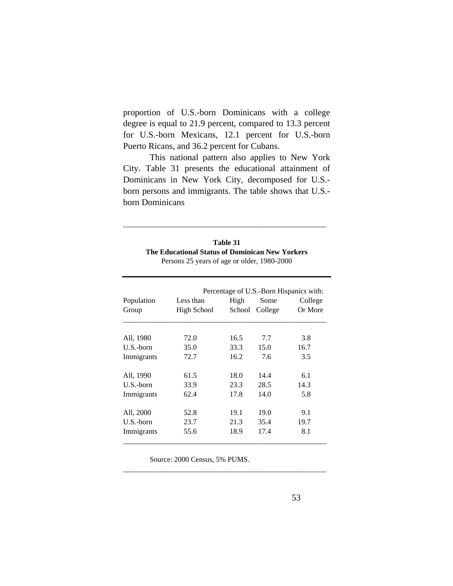proportion of U.S.-born Dominicans with a college degree is equal to 21.9 percent, compared to 13.3 percent for U.S.-born Mexicans, 12.1 percent for U.S.-born Puerto Ricans, and 36.2 percent for Cubans.

 This national pattern also applies to New York City. Table 31 presents the educational attainment of Dominicans in New York City, decomposed for U.S. born persons and immigrants. The table shows that U.S. born Dominicans

| Table 31                                        |
|-------------------------------------------------|
| The Educational Status of Dominican New Yorkers |
| Persons 25 years of age or older, 1980-2000     |

\_\_\_\_\_\_\_\_\_\_\_\_\_\_\_\_\_\_\_\_\_\_\_\_\_\_\_\_\_\_\_\_\_\_\_\_\_\_\_\_\_\_\_\_\_\_\_\_\_\_\_\_\_\_\_

|            | Percentage of U.S.-Born Hispanics with: |        |         |         |  |
|------------|-----------------------------------------|--------|---------|---------|--|
| Population | Less than                               | High   | Some    | College |  |
| Group      | High School                             | School | College | Or More |  |
|            |                                         |        |         |         |  |
| All, 1980  | 72.0                                    | 16.5   | 7.7     | 3.8     |  |
| U.S.-born  | 35.0                                    | 33.3   | 15.0    | 16.7    |  |
| Immigrants | 72.7                                    | 16.2   | 7.6     | 3.5     |  |
| All, 1990  | 61.5                                    | 18.0   | 14.4    | 6.1     |  |
| U.S.-born  | 33.9                                    | 23.3   | 28.5    | 14.3    |  |
| Immigrants | 62.4                                    | 17.8   | 14.0    | 5.8     |  |
| All, 2000  | 52.8                                    | 19.1   | 19.0    | 9.1     |  |
| U.S.-born  | 23.7                                    | 21.3   | 35.4    | 19.7    |  |
| Immigrants | 55.6                                    | 18.9   | 17.4    | 8.1     |  |

\_\_\_\_\_\_\_\_\_\_\_\_\_\_\_\_\_\_\_\_\_\_\_\_\_\_\_\_\_\_\_\_\_\_\_\_\_\_\_\_\_\_\_\_\_\_\_\_\_\_\_\_\_\_\_

Source: 2000 Census, 5% PUMS.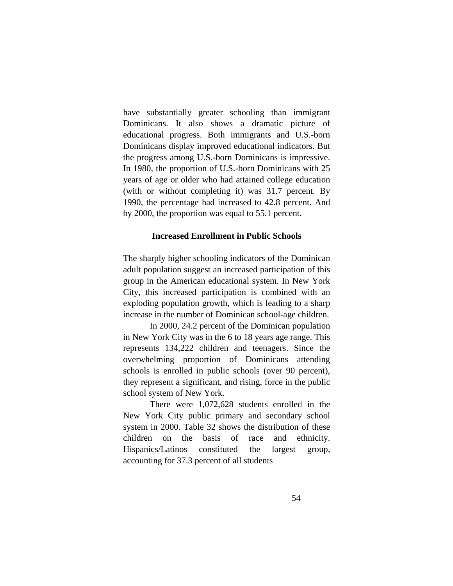have substantially greater schooling than immigrant Dominicans. It also shows a dramatic picture of educational progress. Both immigrants and U.S.-born Dominicans display improved educational indicators. But the progress among U.S.-born Dominicans is impressive. In 1980, the proportion of U.S.-born Dominicans with 25 years of age or older who had attained college education (with or without completing it) was 31.7 percent. By 1990, the percentage had increased to 42.8 percent. And by 2000, the proportion was equal to 55.1 percent.

# **Increased Enrollment in Public Schools**

The sharply higher schooling indicators of the Dominican adult population suggest an increased participation of this group in the American educational system. In New York City, this increased participation is combined with an exploding population growth, which is leading to a sharp increase in the number of Dominican school-age children.

 In 2000, 24.2 percent of the Dominican population in New York City was in the 6 to 18 years age range. This represents 134,222 children and teenagers. Since the overwhelming proportion of Dominicans attending schools is enrolled in public schools (over 90 percent), they represent a significant, and rising, force in the public school system of New York.

 There were 1,072,628 students enrolled in the New York City public primary and secondary school system in 2000. Table 32 shows the distribution of these children on the basis of race and ethnicity. Hispanics/Latinos constituted the largest group, accounting for 37.3 percent of all students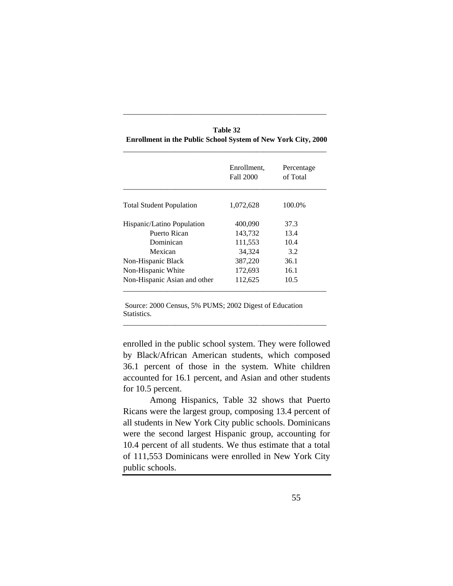|                                 | Enrollment,<br>Fall 2000 | Percentage<br>of Total |
|---------------------------------|--------------------------|------------------------|
| <b>Total Student Population</b> | 1,072,628                | 100.0%                 |
| Hispanic/Latino Population      | 400,090                  | 37.3                   |
| Puerto Rican                    | 143,732                  | 13.4                   |
| Dominican                       | 111,553                  | 10.4                   |
| Mexican                         | 34,324                   | 3.2                    |
| Non-Hispanic Black              | 387,220                  | 36.1                   |
| Non-Hispanic White              | 172,693                  | 16.1                   |
| Non-Hispanic Asian and other    | 112,625                  | 10.5                   |

**Table 32 Enrollment in the Public School System of New York City, 2000**

\_\_\_\_\_\_\_\_\_\_\_\_\_\_\_\_\_\_\_\_\_\_\_\_\_\_\_\_\_\_\_\_\_\_\_\_\_\_\_\_\_\_\_\_\_\_\_\_\_\_\_\_\_\_\_

 Source: 2000 Census, 5% PUMS; 2002 Digest of Education Statistics.

enrolled in the public school system. They were followed by Black/African American students, which composed 36.1 percent of those in the system. White children accounted for 16.1 percent, and Asian and other students for 10.5 percent.

\_\_\_\_\_\_\_\_\_\_\_\_\_\_\_\_\_\_\_\_\_\_\_\_\_\_\_\_\_\_\_\_\_\_\_\_\_\_\_\_\_\_\_\_\_\_\_\_\_\_\_\_\_\_\_

 Among Hispanics, Table 32 shows that Puerto Ricans were the largest group, composing 13.4 percent of all students in New York City public schools. Dominicans were the second largest Hispanic group, accounting for 10.4 percent of all students. We thus estimate that a total of 111,553 Dominicans were enrolled in New York City public schools.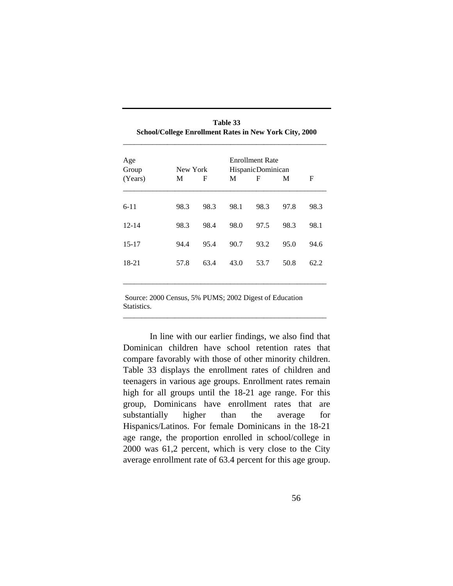| Age<br>Group |      | New York |      | <b>Enrollment Rate</b><br>HispanicDominican |      |      |
|--------------|------|----------|------|---------------------------------------------|------|------|
| (Years)      | M    | F        | M    | F                                           | M    | F    |
| $6 - 11$     | 98.3 | 98.3     | 98.1 | 98.3                                        | 97.8 | 98.3 |
| $12 - 14$    | 98.3 | 98.4     | 98.0 | 97.5                                        | 98.3 | 98.1 |
| $15-17$      | 94.4 | 95.4     | 90.7 | 93.2                                        | 95.0 | 94.6 |
| 18-21        | 57.8 | 63.4     | 43.0 | 53.7                                        | 50.8 | 62.2 |
|              |      |          |      |                                             |      |      |

**Table 33 School/College Enrollment Rates in New York City, 2000**

 Source: 2000 Census, 5% PUMS; 2002 Digest of Education Statistics.

\_\_\_\_\_\_\_\_\_\_\_\_\_\_\_\_\_\_\_\_\_\_\_\_\_\_\_\_\_\_\_\_\_\_\_\_\_\_\_\_\_\_\_\_\_\_\_\_\_\_\_\_\_\_\_

 In line with our earlier findings, we also find that Dominican children have school retention rates that compare favorably with those of other minority children. Table 33 displays the enrollment rates of children and teenagers in various age groups. Enrollment rates remain high for all groups until the 18-21 age range. For this group, Dominicans have enrollment rates that are substantially higher than the average for Hispanics/Latinos. For female Dominicans in the 18-21 age range, the proportion enrolled in school/college in 2000 was 61,2 percent, which is very close to the City average enrollment rate of 63.4 percent for this age group.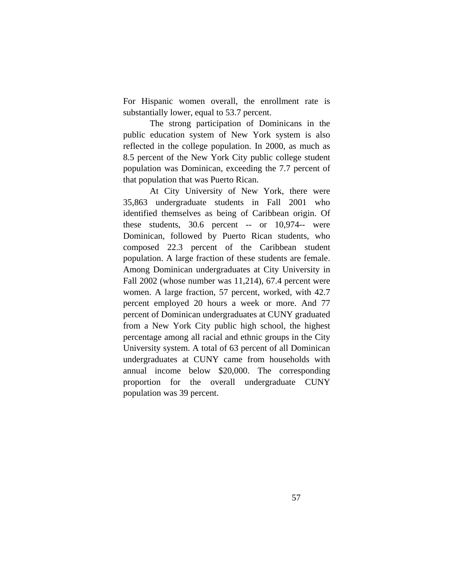For Hispanic women overall, the enrollment rate is substantially lower, equal to 53.7 percent.

 The strong participation of Dominicans in the public education system of New York system is also reflected in the college population. In 2000, as much as 8.5 percent of the New York City public college student population was Dominican, exceeding the 7.7 percent of that population that was Puerto Rican.

 At City University of New York, there were 35,863 undergraduate students in Fall 2001 who identified themselves as being of Caribbean origin. Of these students, 30.6 percent -- or 10,974-- were Dominican, followed by Puerto Rican students, who composed 22.3 percent of the Caribbean student population. A large fraction of these students are female. Among Dominican undergraduates at City University in Fall 2002 (whose number was 11,214), 67.4 percent were women. A large fraction, 57 percent, worked, with 42.7 percent employed 20 hours a week or more. And 77 percent of Dominican undergraduates at CUNY graduated from a New York City public high school, the highest percentage among all racial and ethnic groups in the City University system. A total of 63 percent of all Dominican undergraduates at CUNY came from households with annual income below \$20,000. The corresponding proportion for the overall undergraduate CUNY population was 39 percent.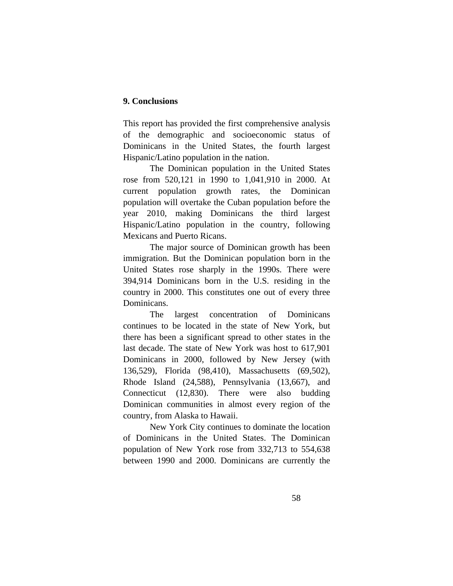# **9. Conclusions**

This report has provided the first comprehensive analysis of the demographic and socioeconomic status of Dominicans in the United States, the fourth largest Hispanic/Latino population in the nation.

 The Dominican population in the United States rose from 520,121 in 1990 to 1,041,910 in 2000. At current population growth rates, the Dominican population will overtake the Cuban population before the year 2010, making Dominicans the third largest Hispanic/Latino population in the country, following Mexicans and Puerto Ricans.

 The major source of Dominican growth has been immigration. But the Dominican population born in the United States rose sharply in the 1990s. There were 394,914 Dominicans born in the U.S. residing in the country in 2000. This constitutes one out of every three Dominicans.

 The largest concentration of Dominicans continues to be located in the state of New York, but there has been a significant spread to other states in the last decade. The state of New York was host to 617,901 Dominicans in 2000, followed by New Jersey (with 136,529), Florida (98,410), Massachusetts (69,502), Rhode Island (24,588), Pennsylvania (13,667), and Connecticut (12,830). There were also budding Dominican communities in almost every region of the country, from Alaska to Hawaii.

 New York City continues to dominate the location of Dominicans in the United States. The Dominican population of New York rose from 332,713 to 554,638 between 1990 and 2000. Dominicans are currently the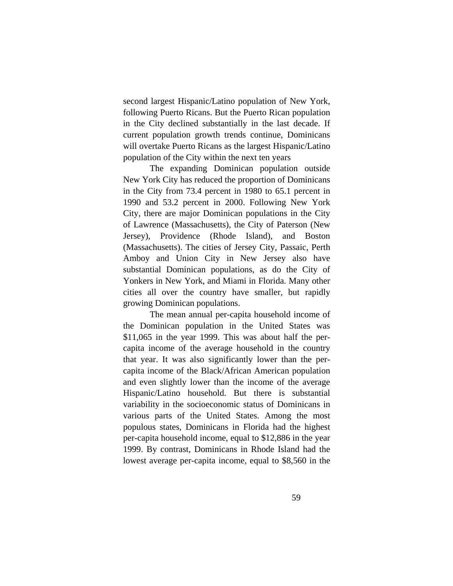second largest Hispanic/Latino population of New York, following Puerto Ricans. But the Puerto Rican population in the City declined substantially in the last decade. If current population growth trends continue, Dominicans will overtake Puerto Ricans as the largest Hispanic/Latino population of the City within the next ten years

 The expanding Dominican population outside New York City has reduced the proportion of Dominicans in the City from 73.4 percent in 1980 to 65.1 percent in 1990 and 53.2 percent in 2000. Following New York City, there are major Dominican populations in the City of Lawrence (Massachusetts), the City of Paterson (New Jersey), Providence (Rhode Island), and Boston (Massachusetts). The cities of Jersey City, Passaic, Perth Amboy and Union City in New Jersey also have substantial Dominican populations, as do the City of Yonkers in New York, and Miami in Florida. Many other cities all over the country have smaller, but rapidly growing Dominican populations.

 The mean annual per-capita household income of the Dominican population in the United States was \$11,065 in the year 1999. This was about half the percapita income of the average household in the country that year. It was also significantly lower than the percapita income of the Black/African American population and even slightly lower than the income of the average Hispanic/Latino household. But there is substantial variability in the socioeconomic status of Dominicans in various parts of the United States. Among the most populous states, Dominicans in Florida had the highest per-capita household income, equal to \$12,886 in the year 1999. By contrast, Dominicans in Rhode Island had the lowest average per-capita income, equal to \$8,560 in the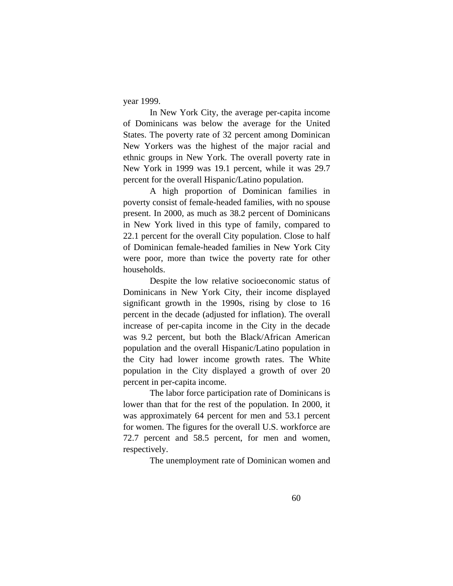year 1999.

 In New York City, the average per-capita income of Dominicans was below the average for the United States. The poverty rate of 32 percent among Dominican New Yorkers was the highest of the major racial and ethnic groups in New York. The overall poverty rate in New York in 1999 was 19.1 percent, while it was 29.7 percent for the overall Hispanic/Latino population.

 A high proportion of Dominican families in poverty consist of female-headed families, with no spouse present. In 2000, as much as 38.2 percent of Dominicans in New York lived in this type of family, compared to 22.1 percent for the overall City population. Close to half of Dominican female-headed families in New York City were poor, more than twice the poverty rate for other households.

 Despite the low relative socioeconomic status of Dominicans in New York City, their income displayed significant growth in the 1990s, rising by close to 16 percent in the decade (adjusted for inflation). The overall increase of per-capita income in the City in the decade was 9.2 percent, but both the Black/African American population and the overall Hispanic/Latino population in the City had lower income growth rates. The White population in the City displayed a growth of over 20 percent in per-capita income.

 The labor force participation rate of Dominicans is lower than that for the rest of the population. In 2000, it was approximately 64 percent for men and 53.1 percent for women. The figures for the overall U.S. workforce are 72.7 percent and 58.5 percent, for men and women, respectively.

The unemployment rate of Dominican women and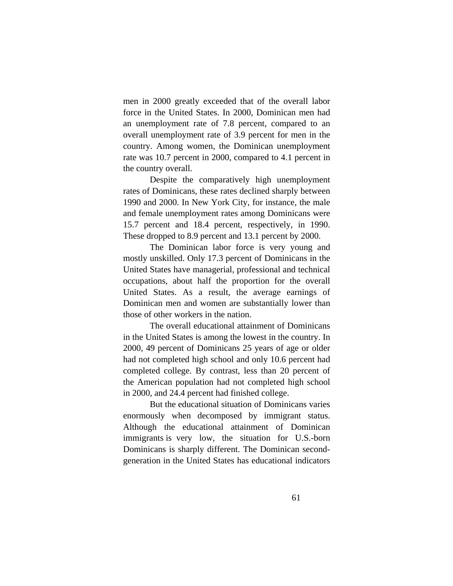men in 2000 greatly exceeded that of the overall labor force in the United States. In 2000, Dominican men had an unemployment rate of 7.8 percent, compared to an overall unemployment rate of 3.9 percent for men in the country. Among women, the Dominican unemployment rate was 10.7 percent in 2000, compared to 4.1 percent in the country overall.

 Despite the comparatively high unemployment rates of Dominicans, these rates declined sharply between 1990 and 2000. In New York City, for instance, the male and female unemployment rates among Dominicans were 15.7 percent and 18.4 percent, respectively, in 1990. These dropped to 8.9 percent and 13.1 percent by 2000.

 The Dominican labor force is very young and mostly unskilled. Only 17.3 percent of Dominicans in the United States have managerial, professional and technical occupations, about half the proportion for the overall United States. As a result, the average earnings of Dominican men and women are substantially lower than those of other workers in the nation.

 The overall educational attainment of Dominicans in the United States is among the lowest in the country. In 2000, 49 percent of Dominicans 25 years of age or older had not completed high school and only 10.6 percent had completed college. By contrast, less than 20 percent of the American population had not completed high school in 2000, and 24.4 percent had finished college.

 But the educational situation of Dominicans varies enormously when decomposed by immigrant status. Although the educational attainment of Dominican immigrants is very low, the situation for U.S.-born Dominicans is sharply different. The Dominican secondgeneration in the United States has educational indicators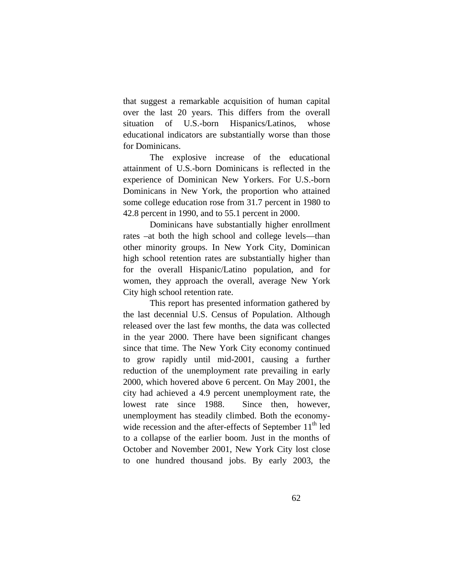that suggest a remarkable acquisition of human capital over the last 20 years. This differs from the overall situation of U.S.-born Hispanics/Latinos, whose educational indicators are substantially worse than those for Dominicans.

 The explosive increase of the educational attainment of U.S.-born Dominicans is reflected in the experience of Dominican New Yorkers. For U.S.-born Dominicans in New York, the proportion who attained some college education rose from 31.7 percent in 1980 to 42.8 percent in 1990, and to 55.1 percent in 2000.

 Dominicans have substantially higher enrollment rates –at both the high school and college levels—than other minority groups. In New York City, Dominican high school retention rates are substantially higher than for the overall Hispanic/Latino population, and for women, they approach the overall, average New York City high school retention rate.

 This report has presented information gathered by the last decennial U.S. Census of Population. Although released over the last few months, the data was collected in the year 2000. There have been significant changes since that time. The New York City economy continued to grow rapidly until mid-2001, causing a further reduction of the unemployment rate prevailing in early 2000, which hovered above 6 percent. On May 2001, the city had achieved a 4.9 percent unemployment rate, the lowest rate since 1988. Since then, however, unemployment has steadily climbed. Both the economywide recession and the after-effects of September  $11<sup>th</sup>$  led to a collapse of the earlier boom. Just in the months of October and November 2001, New York City lost close to one hundred thousand jobs. By early 2003, the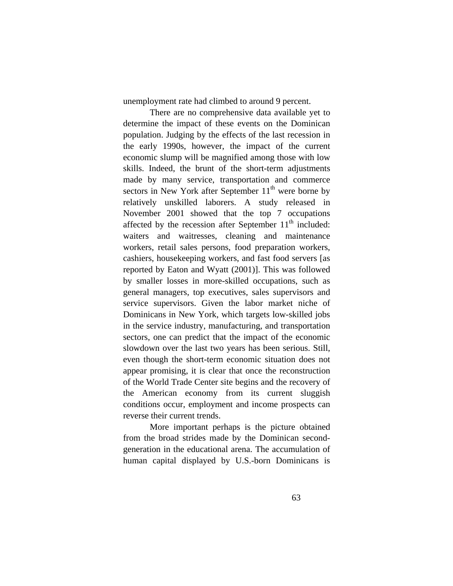unemployment rate had climbed to around 9 percent.

 There are no comprehensive data available yet to determine the impact of these events on the Dominican population. Judging by the effects of the last recession in the early 1990s, however, the impact of the current economic slump will be magnified among those with low skills. Indeed, the brunt of the short-term adjustments made by many service, transportation and commerce sectors in New York after September  $11<sup>th</sup>$  were borne by relatively unskilled laborers. A study released in November 2001 showed that the top 7 occupations affected by the recession after September  $11<sup>th</sup>$  included: waiters and waitresses, cleaning and maintenance workers, retail sales persons, food preparation workers, cashiers, housekeeping workers, and fast food servers [as reported by Eaton and Wyatt (2001)]. This was followed by smaller losses in more-skilled occupations, such as general managers, top executives, sales supervisors and service supervisors. Given the labor market niche of Dominicans in New York, which targets low-skilled jobs in the service industry, manufacturing, and transportation sectors, one can predict that the impact of the economic slowdown over the last two years has been serious. Still, even though the short-term economic situation does not appear promising, it is clear that once the reconstruction of the World Trade Center site begins and the recovery of the American economy from its current sluggish conditions occur, employment and income prospects can reverse their current trends.

 More important perhaps is the picture obtained from the broad strides made by the Dominican secondgeneration in the educational arena. The accumulation of human capital displayed by U.S.-born Dominicans is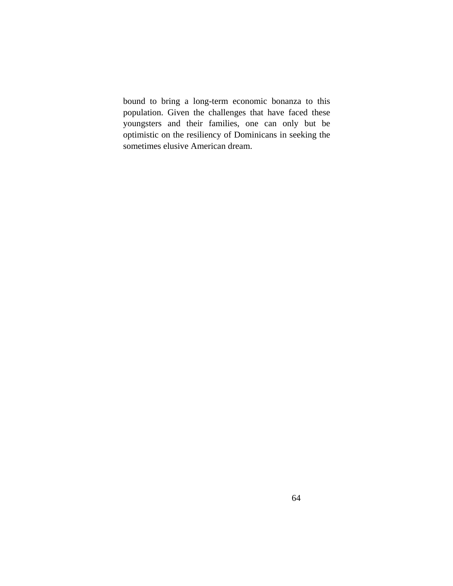bound to bring a long-term economic bonanza to this population. Given the challenges that have faced these youngsters and their families, one can only but be optimistic on the resiliency of Dominicans in seeking the sometimes elusive American dream.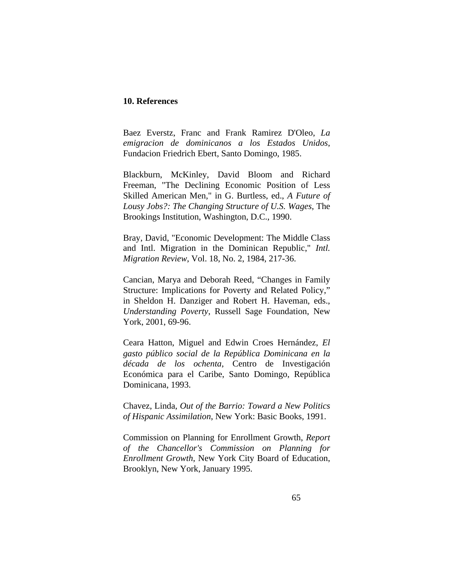# **10. References**

Baez Everstz, Franc and Frank Ramirez D'Oleo, *La emigracion de dominicanos a los Estados Unidos*, Fundacion Friedrich Ebert, Santo Domingo, 1985.

Blackburn, McKinley, David Bloom and Richard Freeman, "The Declining Economic Position of Less Skilled American Men," in G. Burtless, ed., *A Future of Lousy Jobs?: The Changing Structure of U.S. Wages*, The Brookings Institution, Washington, D.C., 1990.

Bray, David, "Economic Development: The Middle Class and Intl. Migration in the Dominican Republic," *Intl. Migration Review*, Vol. 18, No. 2, 1984, 217-36.

Cancian, Marya and Deborah Reed, "Changes in Family Structure: Implications for Poverty and Related Policy," in Sheldon H. Danziger and Robert H. Haveman, eds., *Understanding Poverty*, Russell Sage Foundation, New York, 2001, 69-96.

Ceara Hatton, Miguel and Edwin Croes Hernández, *El gasto público social de la República Dominicana en la década de los ochenta*, Centro de Investigación Económica para el Caribe, Santo Domingo, República Dominicana, 1993.

Chavez, Linda, *Out of the Barrio: Toward a New Politics of Hispanic Assimilation*, New York: Basic Books, 1991.

Commission on Planning for Enrollment Growth, *Report of the Chancellor's Commission on Planning for Enrollment Growth*, New York City Board of Education, Brooklyn, New York, January 1995.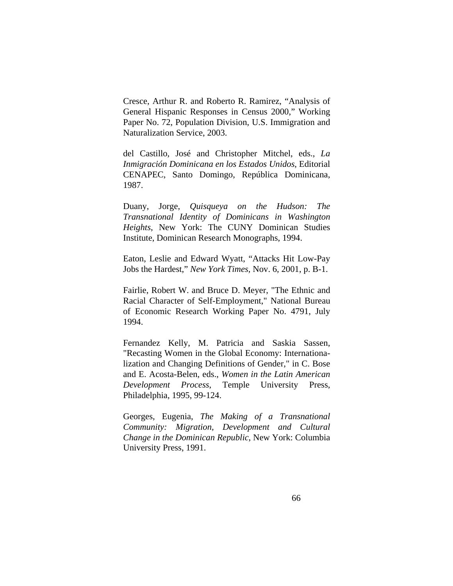Cresce, Arthur R. and Roberto R. Ramirez, "Analysis of General Hispanic Responses in Census 2000," Working Paper No. 72, Population Division, U.S. Immigration and Naturalization Service, 2003.

del Castillo, José and Christopher Mitchel, eds., *La Inmigración Dominicana en los Estados Unidos*, Editorial CENAPEC, Santo Domingo, República Dominicana, 1987.

Duany, Jorge, *Quisqueya on the Hudson: The Transnational Identity of Dominicans in Washington Heights*, New York: The CUNY Dominican Studies Institute, Dominican Research Monographs, 1994.

Eaton, Leslie and Edward Wyatt, "Attacks Hit Low-Pay Jobs the Hardest," *New York Times,* Nov. 6, 2001, p. B-1.

Fairlie, Robert W. and Bruce D. Meyer, "The Ethnic and Racial Character of Self-Employment," National Bureau of Economic Research Working Paper No. 4791, July 1994.

Fernandez Kelly, M. Patricia and Saskia Sassen, "Recasting Women in the Global Economy: Internationalization and Changing Definitions of Gender," in C. Bose and E. Acosta-Belen, eds., *Women in the Latin American Development Process*, Temple University Press, Philadelphia, 1995, 99-124.

Georges, Eugenia, *The Making of a Transnational Community: Migration, Development and Cultural Change in the Dominican Republic*, New York: Columbia University Press, 1991.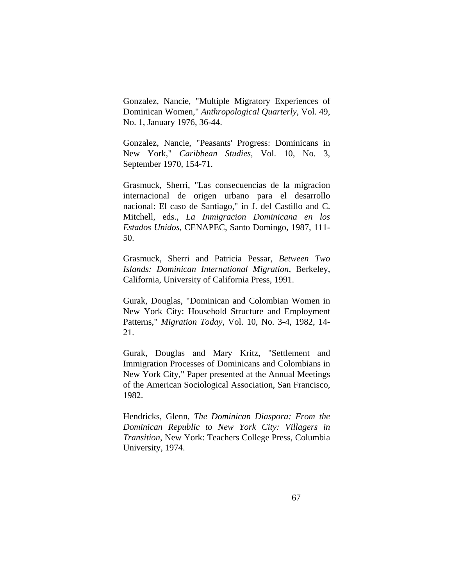Gonzalez, Nancie, "Multiple Migratory Experiences of Dominican Women," *Anthropological Quarterly*, Vol. 49, No. 1, January 1976, 36-44.

Gonzalez, Nancie, "Peasants' Progress: Dominicans in New York," *Caribbean Studies*, Vol. 10, No. 3, September 1970, 154-71.

Grasmuck, Sherri, "Las consecuencias de la migracion internacional de origen urbano para el desarrollo nacional: El caso de Santiago," in J. del Castillo and C. Mitchell, eds., *La Inmigracion Dominicana en los Estados Unidos*, CENAPEC, Santo Domingo, 1987, 111- 50.

Grasmuck, Sherri and Patricia Pessar, *Between Two Islands: Dominican International Migration*, Berkeley, California, University of California Press, 1991.

Gurak, Douglas, "Dominican and Colombian Women in New York City: Household Structure and Employment Patterns," *Migration Today*, Vol. 10, No. 3-4, 1982, 14- 21.

Gurak, Douglas and Mary Kritz, "Settlement and Immigration Processes of Dominicans and Colombians in New York City," Paper presented at the Annual Meetings of the American Sociological Association, San Francisco, 1982.

Hendricks, Glenn, *The Dominican Diaspora: From the Dominican Republic to New York City: Villagers in Transition*, New York: Teachers College Press, Columbia University, 1974.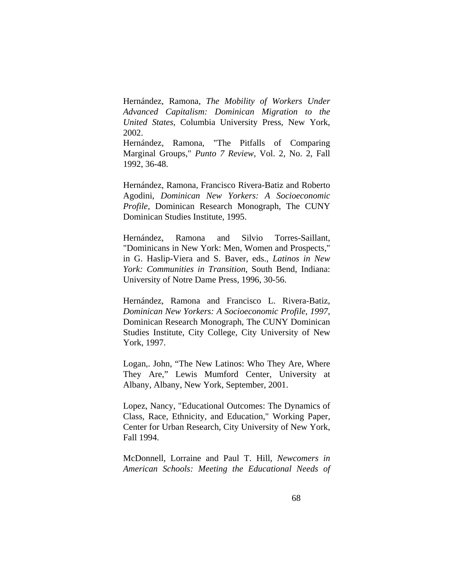Hernández, Ramona, *The Mobility of Workers Under Advanced Capitalism: Dominican Migration to the United States,* Columbia University Press, New York, 2002.

Hernández, Ramona, "The Pitfalls of Comparing Marginal Groups," *Punto 7 Review*, Vol. 2, No. 2, Fall 1992, 36-48.

Hernández, Ramona, Francisco Rivera-Batiz and Roberto Agodini, *Dominican New Yorkers: A Socioeconomic Profile*, Dominican Research Monograph, The CUNY Dominican Studies Institute, 1995.

Hernández, Ramona and Silvio Torres-Saillant, "Dominicans in New York: Men, Women and Prospects," in G. Haslip-Viera and S. Baver, eds., *Latinos in New York: Communities in Transition*, South Bend, Indiana: University of Notre Dame Press, 1996, 30-56.

Hernández, Ramona and Francisco L. Rivera-Batiz, *Dominican New Yorkers: A Socioeconomic Profile, 1997*, Dominican Research Monograph, The CUNY Dominican Studies Institute, City College, City University of New York, 1997.

Logan,. John, "The New Latinos: Who They Are, Where They Are," Lewis Mumford Center, University at Albany, Albany, New York, September, 2001.

Lopez, Nancy, "Educational Outcomes: The Dynamics of Class, Race, Ethnicity, and Education," Working Paper, Center for Urban Research, City University of New York, Fall 1994.

McDonnell, Lorraine and Paul T. Hill, *Newcomers in American Schools: Meeting the Educational Needs of*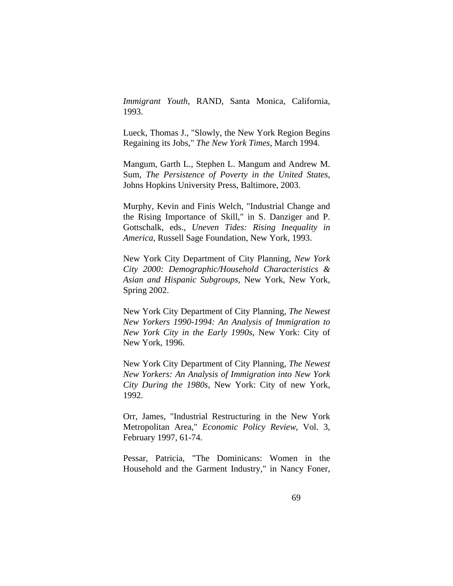*Immigrant Youth*, RAND, Santa Monica, California, 1993.

Lueck, Thomas J., "Slowly, the New York Region Begins Regaining its Jobs," *The New York Times*, March 1994.

Mangum, Garth L., Stephen L. Mangum and Andrew M. Sum, *The Persistence of Poverty in the United States*, Johns Hopkins University Press, Baltimore, 2003.

Murphy, Kevin and Finis Welch, "Industrial Change and the Rising Importance of Skill," in S. Danziger and P. Gottschalk, eds., *Uneven Tides: Rising Inequality in America*, Russell Sage Foundation, New York, 1993.

New York City Department of City Planning, *New York City 2000: Demographic/Household Characteristics & Asian and Hispanic Subgroups*, New York, New York, Spring 2002.

New York City Department of City Planning, *The Newest New Yorkers 1990-1994: An Analysis of Immigration to New York City in the Early 1990s*, New York: City of New York, 1996.

New York City Department of City Planning, *The Newest New Yorkers: An Analysis of Immigration into New York City During the 1980s*, New York: City of new York, 1992.

Orr, James, "Industrial Restructuring in the New York Metropolitan Area," *Economic Policy Review*, Vol. 3, February 1997, 61-74.

Pessar, Patricia, "The Dominicans: Women in the Household and the Garment Industry," in Nancy Foner,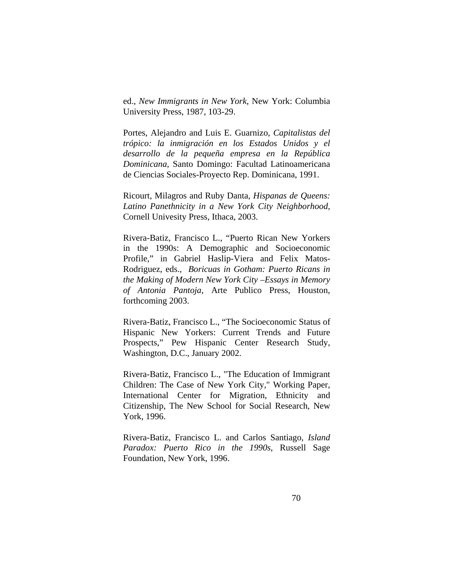ed., *New Immigrants in New York*, New York: Columbia University Press, 1987, 103-29.

Portes, Alejandro and Luis E. Guarnizo, *Capitalistas del trópico: la inmigración en los Estados Unidos y el desarrollo de la pequeña empresa en la República Dominicana*, Santo Domingo: Facultad Latinoamericana de Ciencias Sociales-Proyecto Rep. Dominicana, 1991.

Ricourt, Milagros and Ruby Danta, *Hispanas de Queens: Latino Panethnicity in a New York City Neighborhood,* Cornell Univesity Press, Ithaca, 2003.

Rivera-Batiz, Francisco L., "Puerto Rican New Yorkers in the 1990s: A Demographic and Socioeconomic Profile," in Gabriel Haslip-Viera and Felix Matos-Rodriguez, eds., *Boricuas in Gotham: Puerto Ricans in the Making of Modern New York City –Essays in Memory of Antonia Pantoja*, Arte Publico Press, Houston, forthcoming 2003.

Rivera-Batiz, Francisco L., "The Socioeconomic Status of Hispanic New Yorkers: Current Trends and Future Prospects," Pew Hispanic Center Research Study, Washington, D.C., January 2002.

Rivera-Batiz, Francisco L., "The Education of Immigrant Children: The Case of New York City," Working Paper, International Center for Migration, Ethnicity and Citizenship, The New School for Social Research, New York, 1996.

Rivera-Batiz, Francisco L. and Carlos Santiago, *Island Paradox: Puerto Rico in the 1990s*, Russell Sage Foundation, New York, 1996.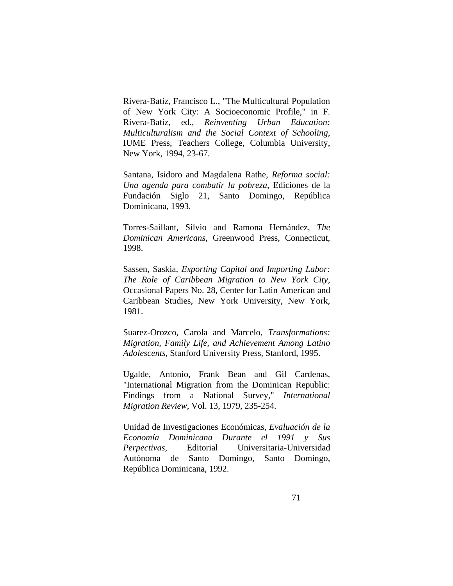Rivera-Batiz, Francisco L., "The Multicultural Population of New York City: A Socioeconomic Profile," in F. Rivera-Batiz, ed., *Reinventing Urban Education: Multiculturalism and the Social Context of Schooling*, IUME Press, Teachers College, Columbia University, New York, 1994, 23-67.

Santana, Isidoro and Magdalena Rathe, *Reforma social: Una agenda para combatir la pobreza*, Ediciones de la Fundación Siglo 21, Santo Domingo, República Dominicana, 1993.

Torres-Saillant, Silvio and Ramona Hernández, *The Dominican Americans*, Greenwood Press, Connecticut, 1998.

Sassen, Saskia, *Exporting Capital and Importing Labor: The Role of Caribbean Migration to New York City*, Occasional Papers No. 28, Center for Latin American and Caribbean Studies, New York University, New York, 1981.

Suarez-Orozco, Carola and Marcelo, *Transformations: Migration, Family Life, and Achievement Among Latino Adolescents*, Stanford University Press, Stanford, 1995.

Ugalde, Antonio, Frank Bean and Gil Cardenas, "International Migration from the Dominican Republic: Findings from a National Survey," *International Migration Review*, Vol. 13, 1979, 235-254.

Unidad de Investigaciones Económicas, *Evaluación de la Economía Dominicana Durante el 1991 y Sus Perpectivas*, Editorial Universitaria-Universidad Autónoma de Santo Domingo, Santo Domingo, República Dominicana, 1992.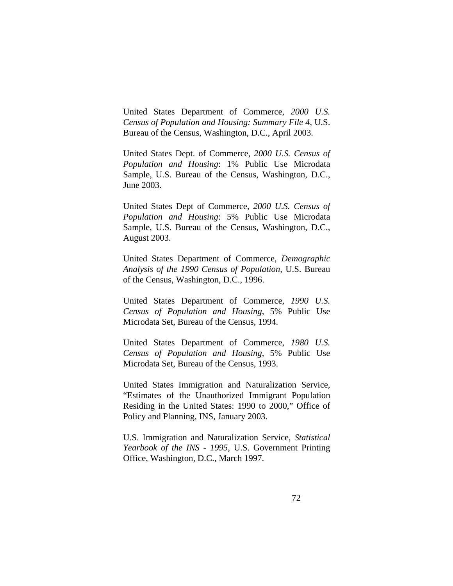United States Department of Commerce, *2000 U.S. Census of Population and Housing: Summary File 4*, U.S. Bureau of the Census, Washington, D.C., April 2003.

United States Dept. of Commerce, *2000 U.S. Census of Population and Housing*: 1% Public Use Microdata Sample, U.S. Bureau of the Census, Washington, D.C., June 2003.

United States Dept of Commerce, *2000 U.S. Census of Population and Housing*: 5% Public Use Microdata Sample, U.S. Bureau of the Census, Washington, D.C., August 2003.

United States Department of Commerce, *Demographic Analysis of the 1990 Census of Population*, U.S. Bureau of the Census, Washington, D.C., 1996.

United States Department of Commerce, *1990 U.S. Census of Population and Housing*, 5% Public Use Microdata Set, Bureau of the Census, 1994.

United States Department of Commerce, *1980 U.S. Census of Population and Housing*, 5% Public Use Microdata Set, Bureau of the Census, 1993.

United States Immigration and Naturalization Service, "Estimates of the Unauthorized Immigrant Population Residing in the United States: 1990 to 2000," Office of Policy and Planning, INS, January 2003.

U.S. Immigration and Naturalization Service, *Statistical Yearbook of the INS - 1995*, U.S. Government Printing Office, Washington, D.C., March 1997.